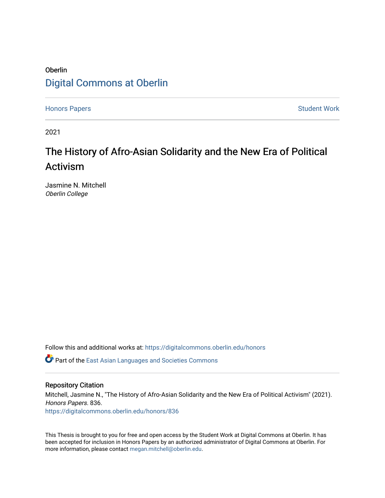# Oberlin [Digital Commons at Oberlin](https://digitalcommons.oberlin.edu/)

[Honors Papers](https://digitalcommons.oberlin.edu/honors) **Student Work** 

2021

# The History of Afro-Asian Solidarity and the New Era of Political Activism

Jasmine N. Mitchell Oberlin College

Follow this and additional works at: [https://digitalcommons.oberlin.edu/honors](https://digitalcommons.oberlin.edu/honors?utm_source=digitalcommons.oberlin.edu%2Fhonors%2F836&utm_medium=PDF&utm_campaign=PDFCoverPages) 

**C** Part of the East Asian Languages and Societies Commons

### Repository Citation

Mitchell, Jasmine N., "The History of Afro-Asian Solidarity and the New Era of Political Activism" (2021). Honors Papers. 836. [https://digitalcommons.oberlin.edu/honors/836](https://digitalcommons.oberlin.edu/honors/836?utm_source=digitalcommons.oberlin.edu%2Fhonors%2F836&utm_medium=PDF&utm_campaign=PDFCoverPages) 

This Thesis is brought to you for free and open access by the Student Work at Digital Commons at Oberlin. It has been accepted for inclusion in Honors Papers by an authorized administrator of Digital Commons at Oberlin. For more information, please contact [megan.mitchell@oberlin.edu.](mailto:megan.mitchell@oberlin.edu)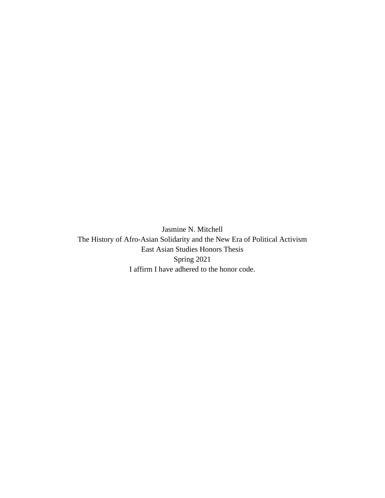Jasmine N. Mitchell The History of Afro-Asian Solidarity and the New Era of Political Activism East Asian Studies Honors Thesis Spring 2021 I affirm I have adhered to the honor code.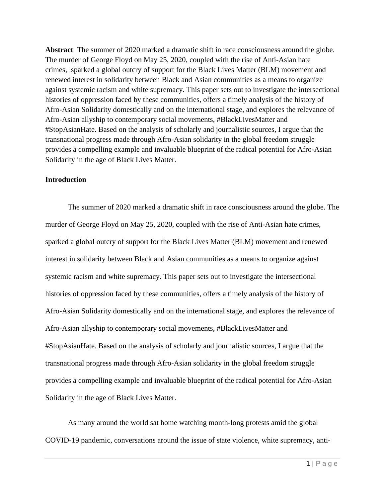**Abstract** The summer of 2020 marked a dramatic shift in race consciousness around the globe. The murder of George Floyd on May 25, 2020, coupled with the rise of Anti-Asian hate crimes, sparked a global outcry of support for the Black Lives Matter (BLM) movement and renewed interest in solidarity between Black and Asian communities as a means to organize against systemic racism and white supremacy. This paper sets out to investigate the intersectional histories of oppression faced by these communities, offers a timely analysis of the history of Afro-Asian Solidarity domestically and on the international stage, and explores the relevance of Afro-Asian allyship to contemporary social movements, #BlackLivesMatter and #StopAsianHate. Based on the analysis of scholarly and journalistic sources, I argue that the transnational progress made through Afro-Asian solidarity in the global freedom struggle provides a compelling example and invaluable blueprint of the radical potential for Afro-Asian Solidarity in the age of Black Lives Matter.

#### **Introduction**

The summer of 2020 marked a dramatic shift in race consciousness around the globe. The murder of George Floyd on May 25, 2020, coupled with the rise of Anti-Asian hate crimes, sparked a global outcry of support for the Black Lives Matter (BLM) movement and renewed interest in solidarity between Black and Asian communities as a means to organize against systemic racism and white supremacy. This paper sets out to investigate the intersectional histories of oppression faced by these communities, offers a timely analysis of the history of Afro-Asian Solidarity domestically and on the international stage, and explores the relevance of Afro-Asian allyship to contemporary social movements, #BlackLivesMatter and #StopAsianHate. Based on the analysis of scholarly and journalistic sources, I argue that the transnational progress made through Afro-Asian solidarity in the global freedom struggle provides a compelling example and invaluable blueprint of the radical potential for Afro-Asian Solidarity in the age of Black Lives Matter.

As many around the world sat home watching month-long protests amid the global COVID-19 pandemic, conversations around the issue of state violence, white supremacy, anti-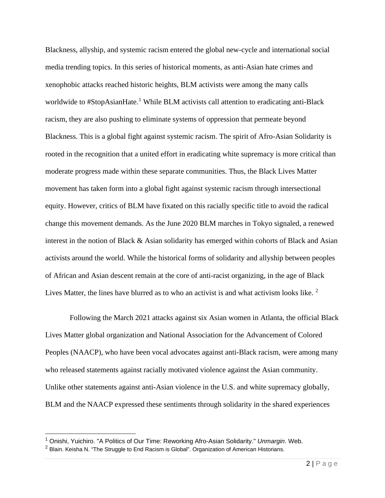Blackness, allyship, and systemic racism entered the global new-cycle and international social media trending topics. In this series of historical moments, as anti-Asian hate crimes and xenophobic attacks reached historic heights, BLM activists were among the many calls worldwide to #StopAsianHate.<sup>[1](#page-3-0)</sup> While BLM activists call attention to eradicating anti-Black racism, they are also pushing to eliminate systems of oppression that permeate beyond Blackness. This is a global fight against systemic racism. The spirit of Afro-Asian Solidarity is rooted in the recognition that a united effort in eradicating white supremacy is more critical than moderate progress made within these separate communities. Thus, the Black Lives Matter movement has taken form into a global fight against systemic racism through intersectional equity. However, critics of BLM have fixated on this racially specific title to avoid the radical change this movement demands. As the June 2020 BLM marches in Tokyo signaled, a renewed interest in the notion of Black & Asian solidarity has emerged within cohorts of Black and Asian activists around the world. While the historical forms of solidarity and allyship between peoples of African and Asian descent remain at the core of anti-racist organizing, in the age of Black Lives Matter, the lines have blurred as to who an activist is and what activism looks like.  $2$ 

 Following the March 2021 attacks against six Asian women in Atlanta, the official Black Lives Matter global organization and National Association for the Advancement of Colored Peoples (NAACP), who have been vocal advocates against anti-Black racism, were among many who released statements against racially motivated violence against the Asian community. Unlike other statements against anti-Asian violence in the U.S. and white supremacy globally, BLM and the NAACP expressed these sentiments through solidarity in the shared experiences

<span id="page-3-0"></span><sup>1</sup> Onishi, Yuichiro. "A Politics of Our Time: Reworking Afro-Asian Solidarity." *Unmargin*. Web.

<span id="page-3-1"></span> $2$  Blain. Keisha N. "The Struggle to End Racism is Global". Organization of American Historians.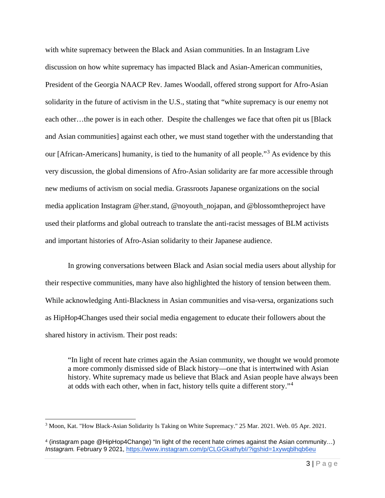with white supremacy between the Black and Asian communities. In an Instagram Live discussion on how white supremacy has impacted Black and Asian-American communities, President of the Georgia NAACP Rev. James Woodall, offered strong support for Afro-Asian solidarity in the future of activism in the U.S., stating that "white supremacy is our enemy not each other…the power is in each other. Despite the challenges we face that often pit us [Black and Asian communities] against each other, we must stand together with the understanding that our [African-Americans] humanity, is tied to the humanity of all people."<sup>[3](#page-4-0)</sup> As evidence by this very discussion, the global dimensions of Afro-Asian solidarity are far more accessible through new mediums of activism on social media. Grassroots Japanese organizations on the social media application Instagram @her.stand, @noyouth\_nojapan, and @blossomtheproject have used their platforms and global outreach to translate the anti-racist messages of BLM activists and important histories of Afro-Asian solidarity to their Japanese audience.

In growing conversations between Black and Asian social media users about allyship for their respective communities, many have also highlighted the history of tension between them. While acknowledging Anti-Blackness in Asian communities and visa-versa, organizations such as HipHop4Changes used their social media engagement to educate their followers about the shared history in activism. Their post reads:

"In light of recent hate crimes again the Asian community, we thought we would promote a more commonly dismissed side of Black history—one that is intertwined with Asian history. White supremacy made us believe that Black and Asian people have always been at odds with each other, when in fact, history tells quite a different story."[4](#page-4-1)

<span id="page-4-0"></span><sup>3</sup> Moon, Kat. "How Black-Asian Solidarity Is Taking on White Supremacy." 25 Mar. 2021. Web. 05 Apr. 2021.

<span id="page-4-1"></span><sup>4</sup> (instagram page @HipHop4Change) "In light of the recent hate crimes against the Asian community…) *Instagram.* February 9 2021, https://www.instagram.com/p/CLGGkathybI/?igshid=1xywqblhqb6eu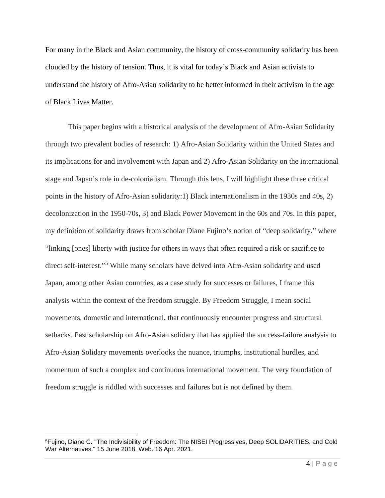For many in the Black and Asian community, the history of cross-community solidarity has been clouded by the history of tension. Thus, it is vital for today's Black and Asian activists to understand the history of Afro-Asian solidarity to be better informed in their activism in the age of Black Lives Matter.

This paper begins with a historical analysis of the development of Afro-Asian Solidarity through two prevalent bodies of research: 1) Afro-Asian Solidarity within the United States and its implications for and involvement with Japan and 2) Afro-Asian Solidarity on the international stage and Japan's role in de-colonialism. Through this lens, I will highlight these three critical points in the history of Afro-Asian solidarity:1) Black internationalism in the 1930s and 40s, 2) decolonization in the 1950-70s, 3) and Black Power Movement in the 60s and 70s. In this paper, my definition of solidarity draws from scholar Diane Fujino's notion of "deep solidarity," where "linking [ones] liberty with justice for others in ways that often required a risk or sacrifice to direct self-interest."[5](#page-5-0) While many scholars have delved into Afro-Asian solidarity and used Japan, among other Asian countries, as a case study for successes or failures, I frame this analysis within the context of the freedom struggle. By Freedom Struggle, I mean social movements, domestic and international, that continuously encounter progress and structural setbacks. Past scholarship on Afro-Asian solidary that has applied the success-failure analysis to Afro-Asian Solidary movements overlooks the nuance, triumphs, institutional hurdles, and momentum of such a complex and continuous international movement. The very foundation of freedom struggle is riddled with successes and failures but is not defined by them.

<span id="page-5-0"></span><sup>5</sup>Fujino, Diane C. "The Indivisibility of Freedom: The NISEI Progressives, Deep SOLIDARITIES, and Cold War Alternatives." 15 June 2018. Web. 16 Apr. 2021.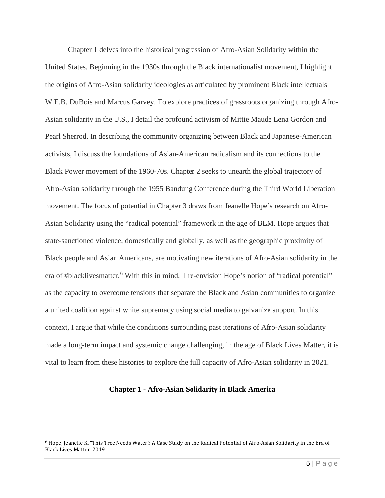Chapter 1 delves into the historical progression of Afro-Asian Solidarity within the United States. Beginning in the 1930s through the Black internationalist movement, I highlight the origins of Afro-Asian solidarity ideologies as articulated by prominent Black intellectuals W.E.B. DuBois and Marcus Garvey. To explore practices of grassroots organizing through Afro-Asian solidarity in the U.S., I detail the profound activism of Mittie Maude Lena Gordon and Pearl Sherrod. In describing the community organizing between Black and Japanese-American activists, I discuss the foundations of Asian-American radicalism and its connections to the Black Power movement of the 1960-70s. Chapter 2 seeks to unearth the global trajectory of Afro-Asian solidarity through the 1955 Bandung Conference during the Third World Liberation movement. The focus of potential in Chapter 3 draws from Jeanelle Hope's research on Afro-Asian Solidarity using the "radical potential" framework in the age of BLM. Hope argues that state-sanctioned violence, domestically and globally, as well as the geographic proximity of Black people and Asian Americans, are motivating new iterations of Afro-Asian solidarity in the era of #blacklivesmatter.<sup>[6](#page-6-0)</sup> With this in mind, I re-envision Hope's notion of "radical potential" as the capacity to overcome tensions that separate the Black and Asian communities to organize a united coalition against white supremacy using social media to galvanize support. In this context, I argue that while the conditions surrounding past iterations of Afro-Asian solidarity made a long-term impact and systemic change challenging, in the age of Black Lives Matter, it is vital to learn from these histories to explore the full capacity of Afro-Asian solidarity in 2021.

#### **Chapter 1 - Afro-Asian Solidarity in Black America**

<span id="page-6-0"></span><sup>6</sup>Hope, Jeanelle K. "This Tree Needs Water!: A Case Study on the Radical Potential of Afro-Asian Solidarity in the Era of Black Lives Matter. 2019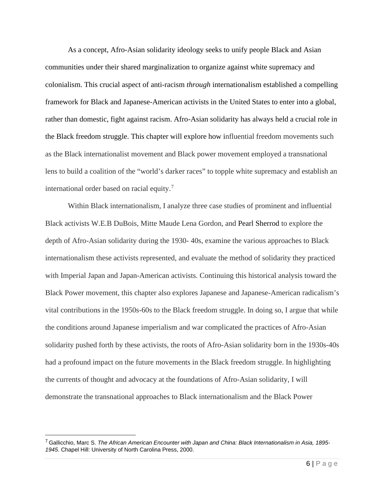As a concept, Afro-Asian solidarity ideology seeks to unify people Black and Asian communities under their shared marginalization to organize against white supremacy and colonialism. This crucial aspect of anti-racism *through* internationalism established a compelling framework for Black and Japanese-American activists in the United States to enter into a global, rather than domestic, fight against racism. Afro-Asian solidarity has always held a crucial role in the Black freedom struggle. This chapter will explore how influential freedom movements such as the Black internationalist movement and Black power movement employed a transnational lens to build a coalition of the "world's darker races" to topple white supremacy and establish an international order based on racial equity.<sup>[7](#page-7-0)</sup>

Within Black internationalism, I analyze three case studies of prominent and influential Black activists W.E.B DuBois, Mitte Maude Lena Gordon, and Pearl Sherrod to explore the depth of Afro-Asian solidarity during the 1930- 40s, examine the various approaches to Black internationalism these activists represented, and evaluate the method of solidarity they practiced with Imperial Japan and Japan-American activists. Continuing this historical analysis toward the Black Power movement, this chapter also explores Japanese and Japanese-American radicalism's vital contributions in the 1950s-60s to the Black freedom struggle. In doing so, I argue that while the conditions around Japanese imperialism and war complicated the practices of Afro-Asian solidarity pushed forth by these activists, the roots of Afro-Asian solidarity born in the 1930s-40s had a profound impact on the future movements in the Black freedom struggle. In highlighting the currents of thought and advocacy at the foundations of Afro-Asian solidarity, I will demonstrate the transnational approaches to Black internationalism and the Black Power

<span id="page-7-0"></span><sup>7</sup> Gallicchio, Marc S. *The African American Encounter with Japan and China: Black Internationalism in Asia, 1895- 1945*. Chapel Hill: University of North Carolina Press, 2000.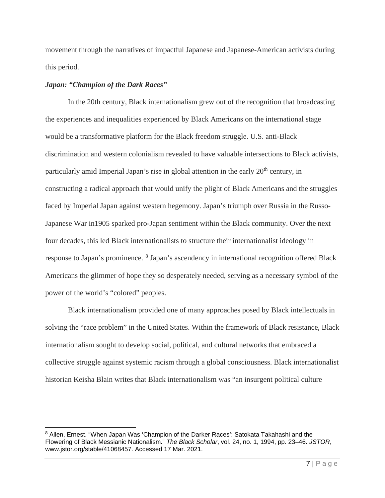movement through the narratives of impactful Japanese and Japanese-American activists during this period.

### *Japan: "Champion of the Dark Races"*

In the 20th century, Black internationalism grew out of the recognition that broadcasting the experiences and inequalities experienced by Black Americans on the international stage would be a transformative platform for the Black freedom struggle. U.S. anti-Black discrimination and western colonialism revealed to have valuable intersections to Black activists, particularly amid Imperial Japan's rise in global attention in the early 20<sup>th</sup> century, in constructing a radical approach that would unify the plight of Black Americans and the struggles faced by Imperial Japan against western hegemony. Japan's triumph over Russia in the Russo-Japanese War in1905 sparked pro-Japan sentiment within the Black community. Over the next four decades, this led Black internationalists to structure their internationalist ideology in response to Japan's prominence. [8](#page-8-0) Japan's ascendency in international recognition offered Black Americans the glimmer of hope they so desperately needed, serving as a necessary symbol of the power of the world's "colored" peoples.

Black internationalism provided one of many approaches posed by Black intellectuals in solving the "race problem" in the United States. Within the framework of Black resistance, Black internationalism sought to develop social, political, and cultural networks that embraced a collective struggle against systemic racism through a global consciousness. Black internationalist historian Keisha Blain writes that Black internationalism was "an insurgent political culture

<span id="page-8-0"></span><sup>&</sup>lt;sup>8</sup> Allen, Ernest. "When Japan Was 'Champion of the Darker Races': Satokata Takahashi and the Flowering of Black Messianic Nationalism." *The Black Scholar*, vol. 24, no. 1, 1994, pp. 23–46. *JSTOR*, www.jstor.org/stable/41068457. Accessed 17 Mar. 2021.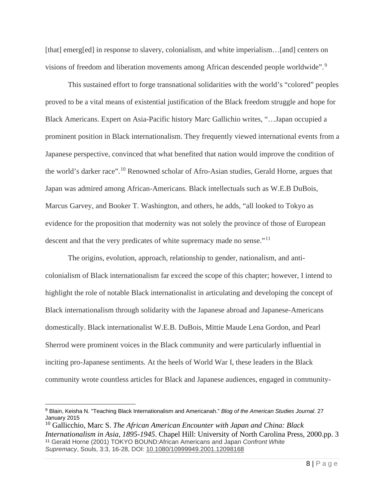[that] emerg[ed] in response to slavery, colonialism, and white imperialism...[and] centers on visions of freedom and liberation movements among African descended people worldwide".<sup>[9](#page-9-0)</sup>

This sustained effort to forge transnational solidarities with the world's "colored" peoples proved to be a vital means of existential justification of the Black freedom struggle and hope for Black Americans. Expert on Asia-Pacific history Marc Gallichio writes, "…Japan occupied a prominent position in Black internationalism. They frequently viewed international events from a Japanese perspective, convinced that what benefited that nation would improve the condition of the world's darker race".<sup>10</sup> Renowned scholar of Afro-Asian studies, Gerald Horne, argues that Japan was admired among African-Americans. Black intellectuals such as W.E.B DuBois, Marcus Garvey, and Booker T. Washington, and others, he adds, "all looked to Tokyo as evidence for the proposition that modernity was not solely the province of those of European descent and that the very predicates of white supremacy made no sense."<sup>[11](#page-9-2)</sup>

The origins, evolution, approach, relationship to gender, nationalism, and anticolonialism of Black internationalism far exceed the scope of this chapter; however, I intend to highlight the role of notable Black internationalist in articulating and developing the concept of Black internationalism through solidarity with the Japanese abroad and Japanese-Americans domestically. Black internationalist W.E.B. DuBois, Mittie Maude Lena Gordon, and Pearl Sherrod were prominent voices in the Black community and were particularly influential in inciting pro-Japanese sentiments. At the heels of World War I, these leaders in the Black community wrote countless articles for Black and Japanese audiences, engaged in community-

<span id="page-9-0"></span><sup>9</sup> Blain, Keisha N. "Teaching Black Internationalism and Americanah." *Blog of the American Studies Journal*. 27 January 2015

<span id="page-9-2"></span><span id="page-9-1"></span><sup>10</sup> Gallicchio, Marc S. *The African American Encounter with Japan and China: Black Internationalism in Asia, 1895-1945*. Chapel Hill: University of North Carolina Press, 2000.pp. 3 <sup>11</sup> Gerald Horne (2001) TOKYO BOUND:African Americans and Japan *Confront White Supremacy*, Souls, 3:3, 16-28, DOI: [10.1080/10999949.2001.12098168](https://doi.org/10.1080/10999949.2001.12098168)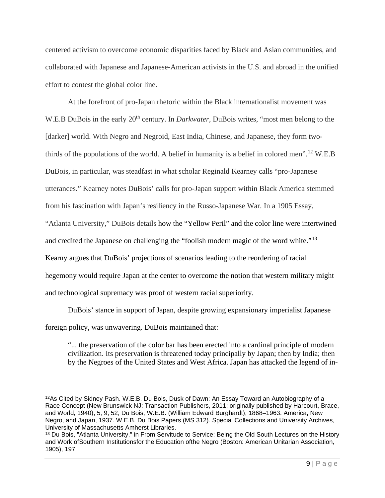centered activism to overcome economic disparities faced by Black and Asian communities, and collaborated with Japanese and Japanese-American activists in the U.S. and abroad in the unified effort to contest the global color line.

At the forefront of pro-Japan rhetoric within the Black internationalist movement was W.E.B DuBois in the early 20<sup>th</sup> century. In *Darkwater*, DuBois writes, "most men belong to the [darker] world. With Negro and Negroid, East India, Chinese, and Japanese, they form twothirds of the populations of the world. A belief in humanity is a belief in colored men".<sup>12</sup> W.E.B DuBois, in particular, was steadfast in what scholar Reginald Kearney calls "pro-Japanese utterances." Kearney notes DuBois' calls for pro-Japan support within Black America stemmed from his fascination with Japan's resiliency in the Russo-Japanese War. In a 1905 Essay, "Atlanta University," DuBois details how the "Yellow Peril" and the color line were intertwined and credited the Japanese on challenging the "foolish modern magic of the word white."<sup>[13](#page-10-1)</sup> Kearny argues that DuBois' projections of scenarios leading to the reordering of racial hegemony would require Japan at the center to overcome the notion that western military might and technological supremacy was proof of western racial superiority.

DuBois' stance in support of Japan, despite growing expansionary imperialist Japanese foreign policy, was unwavering. DuBois maintained that:

"... the preservation of the color bar has been erected into a cardinal principle of modern civilization. Its preservation is threatened today principally by Japan; then by India; then by the Negroes of the United States and West Africa. Japan has attacked the legend of in-

<span id="page-10-0"></span><sup>12</sup>As Cited by Sidney Pash. W.E.B. Du Bois, Dusk of Dawn: An Essay Toward an Autobiography of a Race Concept (New Brunswick NJ: Transaction Publishers, 2011; originally published by Harcourt, Brace, and World, 1940), 5, 9, 52; Du Bois, W.E.B. (William Edward Burghardt), 1868–1963. America, New Negro, and Japan, 1937. W.E.B. Du Bois Papers (MS 312). Special Collections and University Archives, University of Massachusetts Amherst Libraries.

<span id="page-10-1"></span><sup>&</sup>lt;sup>13</sup> Du Bois, "Atlanta University," in From Servitude to Service: Being the Old South Lectures on the History and Work ofSouthern Institutionsfor the Education ofthe Negro (Boston: American Unitarian Association, 1905), 197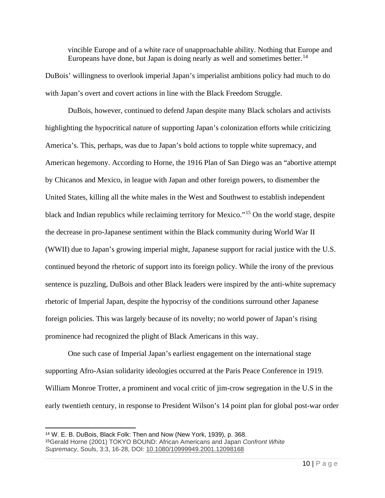vincible Europe and of a white race of unapproachable ability. Nothing that Europe and Europeans have done, but Japan is doing nearly as well and sometimes better.<sup>[14](#page-11-0)</sup>

DuBois' willingness to overlook imperial Japan's imperialist ambitions policy had much to do with Japan's overt and covert actions in line with the Black Freedom Struggle.

DuBois, however, continued to defend Japan despite many Black scholars and activists highlighting the hypocritical nature of supporting Japan's colonization efforts while criticizing America's. This, perhaps, was due to Japan's bold actions to topple white supremacy, and American hegemony. According to Horne, the 1916 Plan of San Diego was an "abortive attempt by Chicanos and Mexico, in league with Japan and other foreign powers, to dismember the United States, killing all the white males in the West and Southwest to establish independent black and Indian republics while reclaiming territory for Mexico."[15](#page-11-1) On the world stage, despite the decrease in pro-Japanese sentiment within the Black community during World War II (WWII) due to Japan's growing imperial might, Japanese support for racial justice with the U.S. continued beyond the rhetoric of support into its foreign policy. While the irony of the previous sentence is puzzling, DuBois and other Black leaders were inspired by the anti-white supremacy rhetoric of Imperial Japan, despite the hypocrisy of the conditions surround other Japanese foreign policies. This was largely because of its novelty; no world power of Japan's rising prominence had recognized the plight of Black Americans in this way.

One such case of Imperial Japan's earliest engagement on the international stage supporting Afro-Asian solidarity ideologies occurred at the Paris Peace Conference in 1919. William Monroe Trotter, a prominent and vocal critic of jim-crow segregation in the U.S in the early twentieth century, in response to President Wilson's 14 point plan for global post-war order

<span id="page-11-1"></span><span id="page-11-0"></span><sup>14</sup> W. E. B. DuBois, Black Folk: Then and Now (New York, 1939), p. 368. 15Gerald Horne (2001) TOKYO BOUND: African Americans and Japan *Confront White Supremacy*, Souls, 3:3, 16-28, DOI: [10.1080/10999949.2001.12098168](https://doi.org/10.1080/10999949.2001.12098168)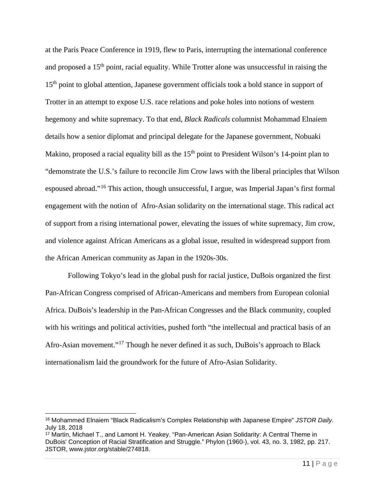at the Paris Peace Conference in 1919, flew to Paris, interrupting the international conference and proposed a 15<sup>th</sup> point, racial equality. While Trotter alone was unsuccessful in raising the 15<sup>th</sup> point to global attention, Japanese government officials took a bold stance in support of Trotter in an attempt to expose U.S. race relations and poke holes into notions of western hegemony and white supremacy. To that end, *Black Radicals* columnist Mohammad Elnaiem details how a senior diplomat and principal delegate for the Japanese government, Nobuaki Makino, proposed a racial equality bill as the 15<sup>th</sup> point to President Wilson's 14-point plan to "demonstrate the U.S.'s failure to reconcile Jim Crow laws with the liberal principles that Wilson espoused abroad."[16](#page-12-0) This action, though unsuccessful, I argue, was Imperial Japan's first formal engagement with the notion of Afro-Asian solidarity on the international stage. This radical act of support from a rising international power, elevating the issues of white supremacy, Jim crow, and violence against African Americans as a global issue, resulted in widespread support from the African American community as Japan in the 1920s-30s.

Following Tokyo's lead in the global push for racial justice, DuBois organized the first Pan-African Congress comprised of African-Americans and members from European colonial Africa. DuBois's leadership in the Pan-African Congresses and the Black community, coupled with his writings and political activities, pushed forth "the intellectual and practical basis of an Afro-Asian movement."[17](#page-12-1) Though he never defined it as such, DuBois's approach to Black internationalism laid the groundwork for the future of Afro-Asian Solidarity.

<span id="page-12-0"></span><sup>16</sup> Mohammed Elnaiem "Black Radicalism's Complex Relationship with Japanese Empire" *JSTOR Daily*. July 18, 2018

<span id="page-12-1"></span><sup>17</sup> Martin, Michael T., and Lamont H. Yeakey. "Pan-American Asian Solidarity: A Central Theme in DuBois' Conception of Racial Stratification and Struggle." Phylon (1960-), vol. 43, no. 3, 1982, pp. 217. JSTOR, www.jstor.org/stable/274818.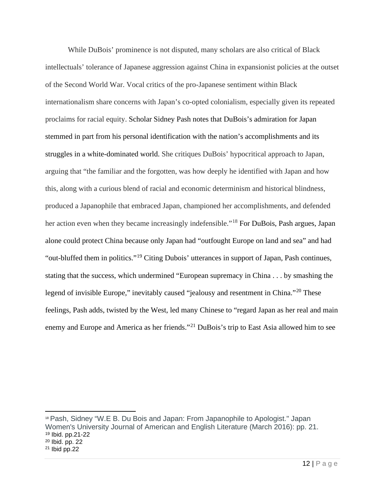While DuBois' prominence is not disputed, many scholars are also critical of Black intellectuals' tolerance of Japanese aggression against China in expansionist policies at the outset of the Second World War. Vocal critics of the pro-Japanese sentiment within Black internationalism share concerns with Japan's co-opted colonialism, especially given its repeated proclaims for racial equity. Scholar Sidney Pash notes that DuBois's admiration for Japan stemmed in part from his personal identification with the nation's accomplishments and its struggles in a white-dominated world. She critiques DuBois' hypocritical approach to Japan, arguing that "the familiar and the forgotten, was how deeply he identified with Japan and how this, along with a curious blend of racial and economic determinism and historical blindness, produced a Japanophile that embraced Japan, championed her accomplishments, and defended her action even when they became increasingly indefensible."<sup>[18](#page-13-0)</sup> For DuBois, Pash argues, Japan alone could protect China because only Japan had "outfought Europe on land and sea" and had "out-bluffed them in politics."[19](#page-13-1) Citing Dubois' utterances in support of Japan, Pash continues, stating that the success, which undermined "European supremacy in China . . . by smashing the legend of invisible Europe," inevitably caused "jealousy and resentment in China."<sup>[20](#page-13-2)</sup> These feelings, Pash adds, twisted by the West, led many Chinese to "regard Japan as her real and main enemy and Europe and America as her friends."<sup>[21](#page-13-3)</sup> DuBois's trip to East Asia allowed him to see

<span id="page-13-3"></span><span id="page-13-2"></span><span id="page-13-1"></span><span id="page-13-0"></span> Pash, Sidney "W.E B. Du Bois and Japan: From Japanophile to Apologist." Japan Women's University Journal of American and English Literature (March 2016): pp. 21. Ibid. pp.21-22 Ibid. pp. 22 Ibid pp. 22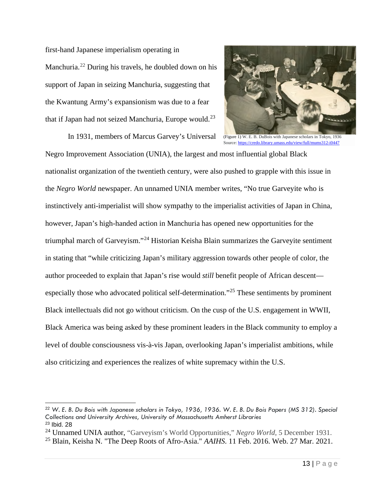first-hand Japanese imperialism operating in Manchuria.[22](#page-14-0) During his travels, he doubled down on his support of Japan in seizing Manchuria, suggesting that the Kwantung Army's expansionism was due to a fear that if Japan had not seized Manchuria, Europe would.<sup>[23](#page-14-1)</sup>

 In 1931, members of Marcus Garvey's Universal Negro Improvement Association (UNIA), the largest and most influential global Black



(Figure 1) W. E. B. DuBois with Japanese scholars in Tokyo, 1936 Source[: https://credo.library.umass.edu/view/full/mums312-i0447](https://credo.library.umass.edu/view/full/mums312-i0447)

nationalist organization of the twentieth century, were also pushed to grapple with this issue in the *Negro World* newspaper. An unnamed UNIA member writes, "No true Garveyite who is instinctively anti-imperialist will show sympathy to the imperialist activities of Japan in China, however, Japan's high-handed action in Manchuria has opened new opportunities for the triumphal march of Garveyism."[24](#page-14-2) Historian Keisha Blain summarizes the Garveyite sentiment in stating that "while criticizing Japan's military aggression towards other people of color, the author proceeded to explain that Japan's rise would *still* benefit people of African descent especially those who advocated political self-determination."[25](#page-14-3) These sentiments by prominent Black intellectuals did not go without criticism. On the cusp of the U.S. engagement in WWII, Black America was being asked by these prominent leaders in the Black community to employ a level of double consciousness vis-à-vis Japan, overlooking Japan's imperialist ambitions, while also criticizing and experiences the realizes of white supremacy within the U.S.

<span id="page-14-0"></span><sup>22</sup> *W. E. B. Du Bois with Japanese scholars in Tokyo, 1936, 1936. W. E. B. Du Bois Papers (MS 312). Special Collections and University Archives, University of Massachusetts Amherst Libraries* <sup>23</sup> Ibid. 28

<span id="page-14-2"></span><span id="page-14-1"></span><sup>24</sup> Unnamed UNIA author, "Garveyism's World Opportunities," *Negro World*, 5 December 1931.

<span id="page-14-3"></span><sup>25</sup> Blain, Keisha N. "The Deep Roots of Afro-Asia." *AAIHS*. 11 Feb. 2016. Web. 27 Mar. 2021.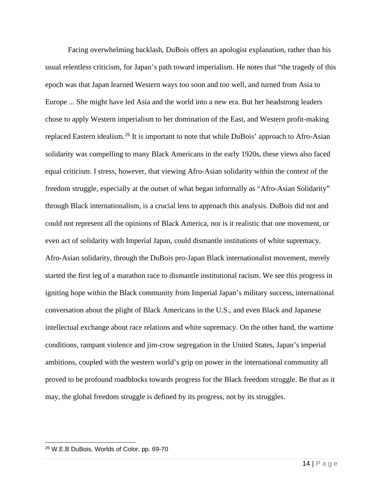Facing overwhelming backlash, DuBois offers an apologist explanation, rather than his usual relentless criticism, for Japan's path toward imperialism. He notes that "the tragedy of this epoch was that Japan learned Western ways too soon and too well, and turned from Asia to Europe ... She might have led Asia and the world into a new era. But her headstrong leaders chose to apply Western imperialism to her domination of the East, and Western profit-making replaced Eastern idealism.[26](#page-15-0) It is important to note that while DuBois' approach to Afro-Asian solidarity was compelling to many Black Americans in the early 1920s, these views also faced equal criticism. I stress, however, that viewing Afro-Asian solidarity within the context of the freedom struggle, especially at the outset of what began informally as "Afro-Asian Solidarity" through Black internationalism, is a crucial lens to approach this analysis. DuBois did not and could not represent all the opinions of Black America, nor is it realistic that one movement, or even act of solidarity with Imperial Japan, could dismantle institutions of white supremacy. Afro-Asian solidarity, through the DuBois pro-Japan Black internationalist movement, merely started the first leg of a marathon race to dismantle institutional racism. We see this progress in igniting hope within the Black community from Imperial Japan's military success, international conversation about the plight of Black Americans in the U.S., and even Black and Japanese intellectual exchange about race relations and white supremacy. On the other hand, the wartime conditions, rampant violence and jim-crow segregation in the United States, Japan's imperial ambitions, coupled with the western world's grip on power in the international community all proved to be profound roadblocks towards progress for the Black freedom struggle. Be that as it may, the global freedom struggle is defined by its progress, not by its struggles.

<span id="page-15-0"></span><sup>26</sup> W.E.B DuBois, Worlds of Color, pp. 69-70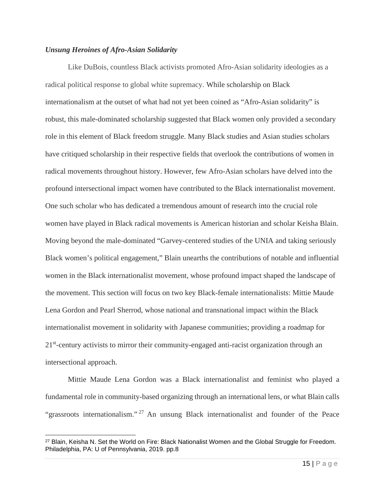### *Unsung Heroines of Afro-Asian Solidarity*

Like DuBois, countless Black activists promoted Afro-Asian solidarity ideologies as a radical political response to global white supremacy. While scholarship on Black internationalism at the outset of what had not yet been coined as "Afro-Asian solidarity" is robust, this male-dominated scholarship suggested that Black women only provided a secondary role in this element of Black freedom struggle. Many Black studies and Asian studies scholars have critiqued scholarship in their respective fields that overlook the contributions of women in radical movements throughout history. However, few Afro-Asian scholars have delved into the profound intersectional impact women have contributed to the Black internationalist movement. One such scholar who has dedicated a tremendous amount of research into the crucial role women have played in Black radical movements is American historian and scholar Keisha Blain. Moving beyond the male-dominated "Garvey-centered studies of the UNIA and taking seriously Black women's political engagement," Blain unearths the contributions of notable and influential women in the Black internationalist movement, whose profound impact shaped the landscape of the movement. This section will focus on two key Black-female internationalists: Mittie Maude Lena Gordon and Pearl Sherrod, whose national and transnational impact within the Black internationalist movement in solidarity with Japanese communities; providing a roadmap for 21<sup>st</sup>-century activists to mirror their community-engaged anti-racist organization through an intersectional approach.

Mittie Maude Lena Gordon was a Black internationalist and feminist who played a fundamental role in community-based organizing through an international lens, or what Blain calls "grassroots internationalism."<sup>[27](#page-16-0)</sup> An unsung Black internationalist and founder of the Peace

<span id="page-16-0"></span><sup>&</sup>lt;sup>27</sup> Blain, Keisha N. Set the World on Fire: Black Nationalist Women and the Global Struggle for Freedom. Philadelphia, PA: U of Pennsylvania, 2019. pp.8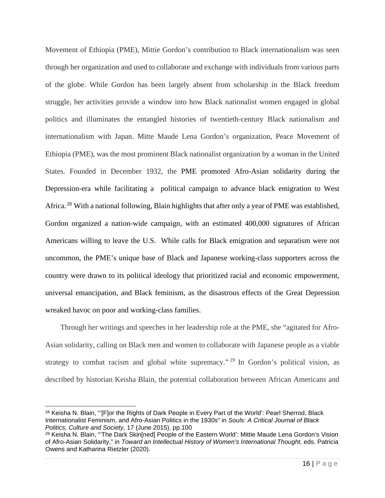Movement of Ethiopia (PME), Mittie Gordon's contribution to Black internationalism was seen through her organization and used to collaborate and exchange with individuals from various parts of the globe. While Gordon has been largely absent from scholarship in the Black freedom struggle, her activities provide a window into how Black nationalist women engaged in global politics and illuminates the entangled histories of twentieth-century Black nationalism and internationalism with Japan. Mitte Maude Lena Gordon's organization, Peace Movement of Ethiopia (PME), was the most prominent Black nationalist organization by a woman in the United States. Founded in December 1932, the PME promoted Afro-Asian solidarity during the Depression-era while facilitating a political campaign to advance black emigration to West Africa.<sup>[28](#page-17-0)</sup> With a national following, Blain highlights that after only a year of PME was established, Gordon organized a nation-wide campaign, with an estimated 400,000 signatures of African Americans willing to leave the U.S. While calls for Black emigration and separatism were not uncommon, the PME's unique base of Black and Japanese working-class supporters across the country were drawn to its political ideology that prioritized racial and economic empowerment, universal emancipation, and Black feminism, as the disastrous effects of the Great Depression wreaked havoc on poor and working-class families.

Through her writings and speeches in her leadership role at the PME, she "agitated for Afro-Asian solidarity, calling on Black men and women to collaborate with Japanese people as a viable strategy to combat racism and global white supremacy."<sup>[29](#page-17-1)</sup> In Gordon's political vision, as described by historian Keisha Blain, the potential collaboration between African Americans and

<span id="page-17-0"></span><sup>&</sup>lt;sup>28</sup> Keisha N. Blain, "'[F]or the Rights of Dark People in Every Part of the World': Pearl Sherrod, Black Internationalist Feminism, and Afro-Asian Politics in the 1930s" in *Souls: A Critical Journal of Black Politics, Culture and Society,* 17 (June 2015), pp.100

<span id="page-17-1"></span><sup>29</sup> Keisha N. Blain, "'The Dark Skin[ned] People of the Eastern World': Mittie Maude Lena Gordon's Vision of Afro-Asian Solidarity," in *Toward an Intellectual History of Women's International Thought,* eds. Patricia Owens and Katharina Rietzler (2020).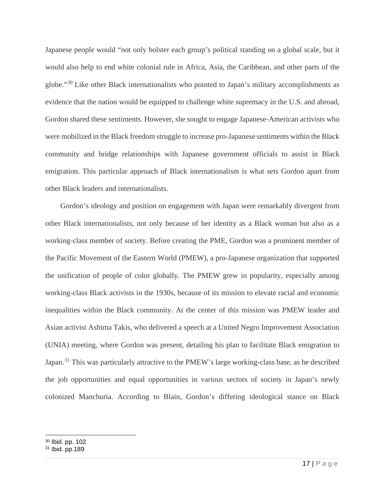Japanese people would "not only bolster each group's political standing on a global scale, but it would also help to end white colonial rule in Africa, Asia, the Caribbean, and other parts of the globe."[30](#page-18-0) Like other Black internationalists who pointed to Japan's military accomplishments as evidence that the nation would be equipped to challenge white supremacy in the U.S. and abroad, Gordon shared these sentiments. However, she sought to engage Japanese-American activists who were mobilized in the Black freedom struggle to increase pro-Japanese sentiments within the Black community and bridge relationships with Japanese government officials to assist in Black emigration. This particular approach of Black internationalism is what sets Gordon apart from other Black leaders and internationalists.

Gordon's ideology and position on engagement with Japan were remarkably divergent from other Black internationalists, not only because of her identity as a Black woman but also as a working-class member of society. Before creating the PME, Gordon was a prominent member of the Pacific Movement of the Eastern World (PMEW), a pro-Japanese organization that supported the unification of people of color globally. The PMEW grew in popularity, especially among working-class Black activists in the 1930s, because of its mission to elevate racial and economic inequalities within the Black community. At the center of this mission was PMEW leader and Asian activist Ashima Takis, who delivered a speech at a United Negro Improvement Association (UNIA) meeting, where Gordon was present, detailing his plan to facilitate Black emigration to Japan.<sup>[31](#page-18-1)</sup> This was particularly attractive to the PMEW's large working-class base, as he described the job opportunities and equal opportunities in various sectors of society in Japan's newly colonized Manchuria. According to Blain, Gordon's differing ideological stance on Black

<span id="page-18-0"></span><sup>30</sup> Ibid. pp. 102

<span id="page-18-1"></span> $31$  Ibid. pp. 189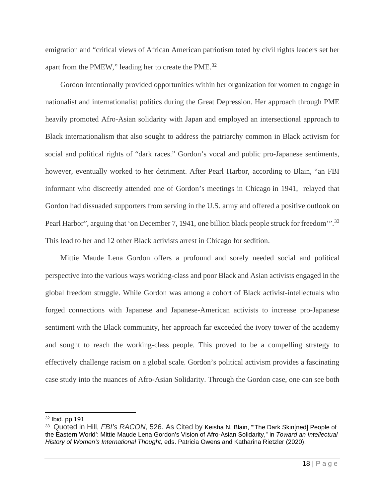emigration and "critical views of African American patriotism toted by civil rights leaders set her apart from the PMEW," leading her to create the PME.<sup>[32](#page-19-0)</sup>

Gordon intentionally provided opportunities within her organization for women to engage in nationalist and internationalist politics during the Great Depression. Her approach through PME heavily promoted Afro-Asian solidarity with Japan and employed an intersectional approach to Black internationalism that also sought to address the patriarchy common in Black activism for social and political rights of "dark races." Gordon's vocal and public pro-Japanese sentiments, however, eventually worked to her detriment. After Pearl Harbor, according to Blain, "an FBI informant who discreetly attended one of Gordon's meetings in Chicago in 1941, relayed that Gordon had dissuaded supporters from serving in the U.S. army and offered a positive outlook on Pearl Harbor", arguing that 'on December 7, 1941, one billion black people struck for freedom".<sup>[33](#page-19-1)</sup> This lead to her and 12 other Black activists arrest in Chicago for sedition.

Mittie Maude Lena Gordon offers a profound and sorely needed social and political perspective into the various ways working-class and poor Black and Asian activists engaged in the global freedom struggle. While Gordon was among a cohort of Black activist-intellectuals who forged connections with Japanese and Japanese-American activists to increase pro-Japanese sentiment with the Black community, her approach far exceeded the ivory tower of the academy and sought to reach the working-class people. This proved to be a compelling strategy to effectively challenge racism on a global scale. Gordon's political activism provides a fascinating case study into the nuances of Afro-Asian Solidarity. Through the Gordon case, one can see both

<span id="page-19-0"></span><sup>32</sup> Ibid. pp.191

<span id="page-19-1"></span><sup>33</sup> Quoted in Hill, *FBI's RACON*, 526. As Cited by Keisha N. Blain, "'The Dark Skin[ned] People of the Eastern World': Mittie Maude Lena Gordon's Vision of Afro-Asian Solidarity," in *Toward an Intellectual History of Women's International Thought,* eds. Patricia Owens and Katharina Rietzler (2020).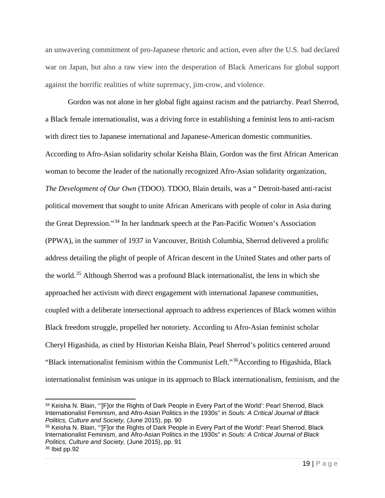an unwavering commitment of pro-Japanese rhetoric and action, even after the U.S. had declared war on Japan, but also a raw view into the desperation of Black Americans for global support against the horrific realities of white supremacy, jim-crow, and violence.

Gordon was not alone in her global fight against racism and the patriarchy. Pearl Sherrod, a Black female internationalist, was a driving force in establishing a feminist lens to anti-racism with direct ties to Japanese international and Japanese-American domestic communities. According to Afro-Asian solidarity scholar Keisha Blain, Gordon was the first African American woman to become the leader of the nationally recognized Afro-Asian solidarity organization, *The Development of Our Own* (TDOO). TDOO, Blain details, was a " Detroit-based anti-racist political movement that sought to unite African Americans with people of color in Asia during the Great Depression."[34](#page-20-0) In her landmark speech at the Pan-Pacific Women's Association (PPWA), in the summer of 1937 in Vancouver, British Columbia, Sherrod delivered a prolific address detailing the plight of people of African descent in the United States and other parts of the world.<sup>[35](#page-20-1)</sup> Although Sherrod was a profound Black internationalist, the lens in which she approached her activism with direct engagement with international Japanese communities, coupled with a deliberate intersectional approach to address experiences of Black women within Black freedom struggle, propelled her notoriety. According to Afro-Asian feminist scholar Cheryl Higashida, as cited by Historian Keisha Blain, Pearl Sherrod's politics centered around "Black internationalist feminism within the Communist Left."[36A](#page-20-2)ccording to Higashida, Black internationalist feminism was unique in its approach to Black internationalism, feminism, and the

<span id="page-20-0"></span><sup>34</sup> Keisha N. Blain, "'[F]or the Rights of Dark People in Every Part of the World': Pearl Sherrod, Black Internationalist Feminism, and Afro-Asian Politics in the 1930s" in *Souls: A Critical Journal of Black Politics, Culture and Society,* (June 2015), pp. 90

<span id="page-20-2"></span><span id="page-20-1"></span><sup>35</sup> Keisha N. Blain, "'[F]or the Rights of Dark People in Every Part of the World': Pearl Sherrod, Black Internationalist Feminism, and Afro-Asian Politics in the 1930s" in *Souls: A Critical Journal of Black Politics, Culture and Society,* (June 2015), pp. 91 <sup>36</sup> Ibid pp.92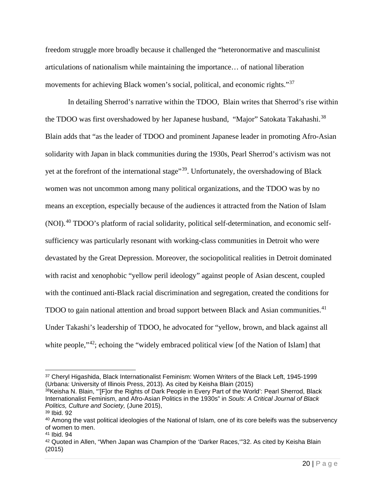freedom struggle more broadly because it challenged the "heteronormative and masculinist articulations of nationalism while maintaining the importance… of national liberation movements for achieving Black women's social, political, and economic rights."<sup>[37](#page-21-0)</sup>

In detailing Sherrod's narrative within the TDOO, Blain writes that Sherrod's rise within the TDOO was first overshadowed by her Japanese husband, "Major" Satokata Takahashi.<sup>[38](#page-21-1)</sup> Blain adds that "as the leader of TDOO and prominent Japanese leader in promoting Afro-Asian solidarity with Japan in black communities during the 1930s, Pearl Sherrod's activism was not yet at the forefront of the international stage"<sup>39</sup>. Unfortunately, the overshadowing of Black women was not uncommon among many political organizations, and the TDOO was by no means an exception, especially because of the audiences it attracted from the Nation of Islam (NOI). [40](#page-21-3) TDOO's platform of racial solidarity, political self-determination, and economic selfsufficiency was particularly resonant with working-class communities in Detroit who were devastated by the Great Depression. Moreover, the sociopolitical realities in Detroit dominated with racist and xenophobic "yellow peril ideology" against people of Asian descent, coupled with the continued anti-Black racial discrimination and segregation, created the conditions for TDOO to gain national attention and broad support between Black and Asian communities.<sup>[41](#page-21-4)</sup> Under Takashi's leadership of TDOO, he advocated for "yellow, brown, and black against all white people,"<sup>42</sup>; echoing the "widely embraced political view [of the Nation of Islam] that

<span id="page-21-0"></span><sup>37</sup> Cheryl Higashida, Black Internationalist Feminism: Women Writers of the Black Left, 1945-1999 (Urbana: University of Illinois Press, 2013). As cited by Keisha Blain (2015)

<span id="page-21-1"></span><sup>&</sup>lt;sup>38</sup>Keisha N. Blain, "'[F]or the Rights of Dark People in Every Part of the World': Pearl Sherrod, Black Internationalist Feminism, and Afro-Asian Politics in the 1930s" in *Souls: A Critical Journal of Black Politics, Culture and Society,* (June 2015),

<span id="page-21-2"></span><sup>39</sup> Ibid. 92

<span id="page-21-3"></span><sup>40</sup> Among the vast political ideologies of the National of Islam, one of its core beleifs was the subservency of women to men.

<span id="page-21-4"></span><sup>41</sup> Ibid. 94

<span id="page-21-5"></span><sup>42</sup> Quoted in Allen, "When Japan was Champion of the 'Darker Races, "32. As cited by Keisha Blain (2015)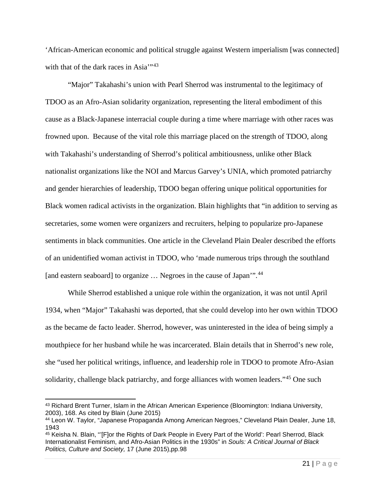'African-American economic and political struggle against Western imperialism [was connected] with that of the dark races in Asia'"<sup>[43](#page-22-0)</sup>

"Major" Takahashi's union with Pearl Sherrod was instrumental to the legitimacy of TDOO as an Afro-Asian solidarity organization, representing the literal embodiment of this cause as a Black-Japanese interracial couple during a time where marriage with other races was frowned upon. Because of the vital role this marriage placed on the strength of TDOO, along with Takahashi's understanding of Sherrod's political ambitiousness, unlike other Black nationalist organizations like the NOI and Marcus Garvey's UNIA, which promoted patriarchy and gender hierarchies of leadership, TDOO began offering unique political opportunities for Black women radical activists in the organization. Blain highlights that "in addition to serving as secretaries, some women were organizers and recruiters, helping to popularize pro-Japanese sentiments in black communities. One article in the Cleveland Plain Dealer described the efforts of an unidentified woman activist in TDOO, who 'made numerous trips through the southland [and eastern seaboard] to organize ... Negroes in the cause of Japan'".<sup>[44](#page-22-1)</sup>

While Sherrod established a unique role within the organization, it was not until April 1934, when "Major" Takahashi was deported, that she could develop into her own within TDOO as the became de facto leader. Sherrod, however, was uninterested in the idea of being simply a mouthpiece for her husband while he was incarcerated. Blain details that in Sherrod's new role, she "used her political writings, influence, and leadership role in TDOO to promote Afro-Asian solidarity, challenge black patriarchy, and forge alliances with women leaders."<sup>[45](#page-22-2)</sup> One such

<span id="page-22-0"></span><sup>43</sup> Richard Brent Turner, Islam in the African American Experience (Bloomington: Indiana University, 2003), 168. As cited by Blain (June 2015)

<span id="page-22-1"></span><sup>44</sup> Leon W. Taylor, "Japanese Propaganda Among American Negroes," Cleveland Plain Dealer, June 18, 1943

<span id="page-22-2"></span><sup>45</sup> Keisha N. Blain, "'[F]or the Rights of Dark People in Every Part of the World': Pearl Sherrod, Black Internationalist Feminism, and Afro-Asian Politics in the 1930s" in *Souls: A Critical Journal of Black Politics, Culture and Society,* 17 (June 2015),pp.98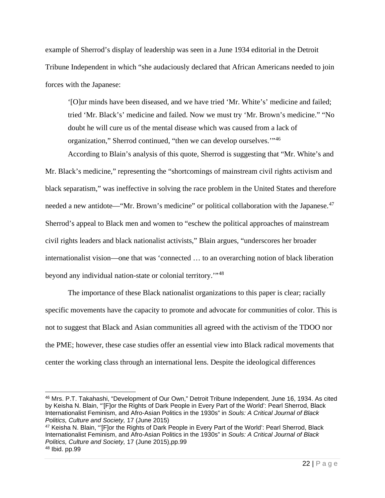example of Sherrod's display of leadership was seen in a June 1934 editorial in the Detroit Tribune Independent in which "she audaciously declared that African Americans needed to join forces with the Japanese:

'[O]ur minds have been diseased, and we have tried 'Mr. White's' medicine and failed; tried 'Mr. Black's' medicine and failed. Now we must try 'Mr. Brown's medicine." "No doubt he will cure us of the mental disease which was caused from a lack of organization," Sherrod continued, "then we can develop ourselves.'"[46](#page-23-0)

According to Blain's analysis of this quote, Sherrod is suggesting that "Mr. White's and Mr. Black's medicine," representing the "shortcomings of mainstream civil rights activism and black separatism," was ineffective in solving the race problem in the United States and therefore needed a new antidote—"Mr. Brown's medicine" or political collaboration with the Japanese.<sup>[47](#page-23-1)</sup> Sherrod's appeal to Black men and women to "eschew the political approaches of mainstream civil rights leaders and black nationalist activists," Blain argues, "underscores her broader internationalist vision—one that was 'connected … to an overarching notion of black liberation beyond any individual nation-state or colonial territory.'"[48](#page-23-2)

The importance of these Black nationalist organizations to this paper is clear; racially specific movements have the capacity to promote and advocate for communities of color. This is not to suggest that Black and Asian communities all agreed with the activism of the TDOO nor the PME; however, these case studies offer an essential view into Black radical movements that center the working class through an international lens. Despite the ideological differences

<span id="page-23-2"></span><span id="page-23-1"></span><sup>47</sup> Keisha N. Blain, "'[F]or the Rights of Dark People in Every Part of the World': Pearl Sherrod, Black Internationalist Feminism, and Afro-Asian Politics in the 1930s" in *Souls: A Critical Journal of Black Politics, Culture and Society,* 17 (June 2015),pp.99 <sup>48</sup> Ibid. pp.99

<span id="page-23-0"></span><sup>46</sup> Mrs. P.T. Takahashi, "Development of Our Own," Detroit Tribune Independent, June 16, 1934. As cited by Keisha N. Blain, "'[F]or the Rights of Dark People in Every Part of the World': Pearl Sherrod, Black Internationalist Feminism, and Afro-Asian Politics in the 1930s" in *Souls: A Critical Journal of Black Politics, Culture and Society,* 17 (June 2015)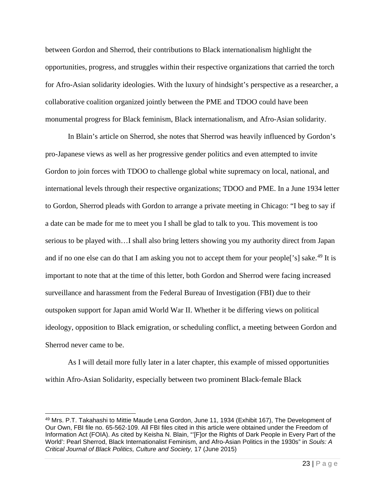between Gordon and Sherrod, their contributions to Black internationalism highlight the opportunities, progress, and struggles within their respective organizations that carried the torch for Afro-Asian solidarity ideologies. With the luxury of hindsight's perspective as a researcher, a collaborative coalition organized jointly between the PME and TDOO could have been monumental progress for Black feminism, Black internationalism, and Afro-Asian solidarity.

In Blain's article on Sherrod, she notes that Sherrod was heavily influenced by Gordon's pro-Japanese views as well as her progressive gender politics and even attempted to invite Gordon to join forces with TDOO to challenge global white supremacy on local, national, and international levels through their respective organizations; TDOO and PME. In a June 1934 letter to Gordon, Sherrod pleads with Gordon to arrange a private meeting in Chicago: "I beg to say if a date can be made for me to meet you I shall be glad to talk to you. This movement is too serious to be played with…I shall also bring letters showing you my authority direct from Japan and if no one else can do that I am asking you not to accept them for your people<sup>['s]</sup> sake.<sup>[49](#page-24-0)</sup> It is important to note that at the time of this letter, both Gordon and Sherrod were facing increased surveillance and harassment from the Federal Bureau of Investigation (FBI) due to their outspoken support for Japan amid World War II. Whether it be differing views on political ideology, opposition to Black emigration, or scheduling conflict, a meeting between Gordon and Sherrod never came to be.

As I will detail more fully later in a later chapter, this example of missed opportunities within Afro-Asian Solidarity, especially between two prominent Black-female Black

<span id="page-24-0"></span><sup>49</sup> Mrs. P.T. Takahashi to Mittie Maude Lena Gordon, June 11, 1934 (Exhibit 167), The Development of Our Own, FBI file no. 65-562-109. All FBI files cited in this article were obtained under the Freedom of Information Act (FOIA). As cited by Keisha N. Blain, "'[F]or the Rights of Dark People in Every Part of the World': Pearl Sherrod, Black Internationalist Feminism, and Afro-Asian Politics in the 1930s" in *Souls: A Critical Journal of Black Politics, Culture and Society,* 17 (June 2015)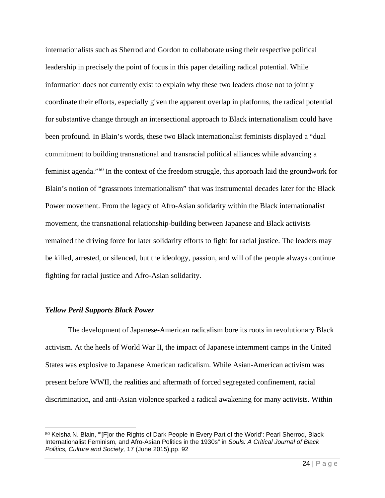internationalists such as Sherrod and Gordon to collaborate using their respective political leadership in precisely the point of focus in this paper detailing radical potential. While information does not currently exist to explain why these two leaders chose not to jointly coordinate their efforts, especially given the apparent overlap in platforms, the radical potential for substantive change through an intersectional approach to Black internationalism could have been profound. In Blain's words, these two Black internationalist feminists displayed a "dual commitment to building transnational and transracial political alliances while advancing a feminist agenda."[50](#page-25-0) In the context of the freedom struggle, this approach laid the groundwork for Blain's notion of "grassroots internationalism" that was instrumental decades later for the Black Power movement. From the legacy of Afro-Asian solidarity within the Black internationalist movement, the transnational relationship-building between Japanese and Black activists remained the driving force for later solidarity efforts to fight for racial justice. The leaders may be killed, arrested, or silenced, but the ideology, passion, and will of the people always continue fighting for racial justice and Afro-Asian solidarity.

#### *Yellow Peril Supports Black Power*

The development of Japanese-American radicalism bore its roots in revolutionary Black activism. At the heels of World War II, the impact of Japanese internment camps in the United States was explosive to Japanese American radicalism. While Asian-American activism was present before WWII, the realities and aftermath of forced segregated confinement, racial discrimination, and anti-Asian violence sparked a radical awakening for many activists. Within

<span id="page-25-0"></span><sup>50</sup> Keisha N. Blain, "'[F]or the Rights of Dark People in Every Part of the World': Pearl Sherrod, Black Internationalist Feminism, and Afro-Asian Politics in the 1930s" in *Souls: A Critical Journal of Black Politics, Culture and Society,* 17 (June 2015),pp. 92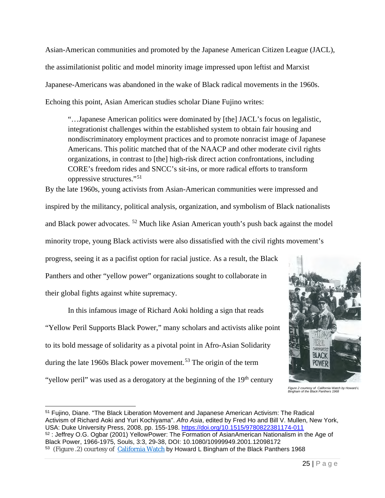Asian-American communities and promoted by the Japanese American Citizen League (JACL), the assimilationist politic and model minority image impressed upon leftist and Marxist Japanese-Americans was abandoned in the wake of Black radical movements in the 1960s. Echoing this point, Asian American studies scholar Diane Fujino writes:

"…Japanese American politics were dominated by [the] JACL's focus on legalistic, integrationist challenges within the established system to obtain fair housing and nondiscriminatory employment practices and to promote nonracist image of Japanese Americans. This politic matched that of the NAACP and other moderate civil rights organizations, in contrast to [the] high-risk direct action confrontations, including CORE's freedom rides and SNCC's sit-ins, or more radical efforts to transform oppressive structures."[51](#page-26-0)

By the late 1960s, young activists from Asian-American communities were impressed and inspired by the militancy, political analysis, organization, and symbolism of Black nationalists and Black power advocates. [52](#page-26-1) Much like Asian American youth's push back against the model minority trope, young Black activists were also dissatisfied with the civil rights movement's progress, seeing it as a pacifist option for racial justice. As a result, the Black

Panthers and other "yellow power" organizations sought to collaborate in their global fights against white supremacy.

In this infamous image of Richard Aoki holding a sign that reads "Yellow Peril Supports Black Power," many scholars and activists alike point to its bold message of solidarity as a pivotal point in Afro-Asian Solidarity during the late 1960s Black power movement.<sup>[53](#page-26-2)</sup> The origin of the term "yellow peril" was used as a derogatory at the beginning of the 19<sup>th</sup> century



*Figure 2 courtesy of California Watch by Howard L Bingham of the Black Panthers 1968*

<span id="page-26-2"></span><span id="page-26-1"></span><span id="page-26-0"></span><sup>51</sup> Fujino, Diane. "The Black Liberation Movement and Japanese American Activism: The Radical Activism of Richard Aoki and Yuri Kochiyama". *Afro Asia*, edited by Fred Ho and Bill V. Mullen, New York, USA: Duke University Press, 2008, pp. 155-198.<https://doi.org/10.1515/9780822381174-011> <sup>52</sup> : Jeffrey O.G. Ogbar (2001) YellowPower: The Formation of AsianAmerican Nationalism in the Age of Black Power, 1966-1975, Souls, 3:3, 29-38, DOI: 10.1080/10999949.2001.12098172 <sup>53</sup> (Figure .2) courtesy of *[California Watch](https://www.flickr.com/photos/californiawatch/7797943186/in/photostream/)* by Howard L Bingham of the Black Panthers 1968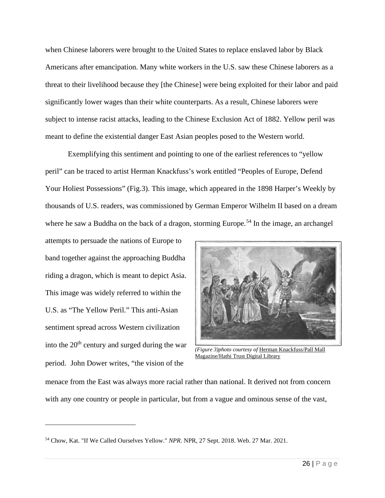when Chinese laborers were brought to the United States to replace enslaved labor by Black Americans after emancipation. Many white workers in the U.S. saw these Chinese laborers as a threat to their livelihood because they [the Chinese] were being exploited for their labor and paid significantly lower wages than their white counterparts. As a result, Chinese laborers were subject to intense racist attacks, leading to the Chinese Exclusion Act of 1882. Yellow peril was meant to define the existential danger East Asian peoples posed to the Western world.

Exemplifying this sentiment and pointing to one of the earliest references to "yellow peril" can be traced to artist Herman Knackfuss's work entitled "Peoples of Europe, Defend Your Holiest Possessions" (Fig.3). This image, which appeared in the 1898 Harper's Weekly by thousands of U.S. readers, was commissioned by German Emperor Wilhelm II based on a dream where he saw a Buddha on the back of a dragon, storming Europe.<sup>[54](#page-27-0)</sup> In the image, an archangel

attempts to persuade the nations of Europe to band together against the approaching Buddha riding a dragon, which is meant to depict Asia. This image was widely referred to within the U.S. as "The Yellow Peril." This anti-Asian sentiment spread across Western civilization into the  $20<sup>th</sup>$  century and surged during the war period. John Dower writes, "the vision of the



*(Figure 3)photo courtesy of* Herman [Knackfuss/Pall](https://babel.hathitrust.org/cgi/pt?id=coo.31924065541330) Mall [Magazine/Hathi](https://babel.hathitrust.org/cgi/pt?id=coo.31924065541330) Trust Digital Library

menace from the East was always more racial rather than national. It derived not from concern with any one country or people in particular, but from a vague and ominous sense of the vast,

<span id="page-27-0"></span><sup>54</sup> Chow, Kat. "If We Called Ourselves Yellow." *NPR*. NPR, 27 Sept. 2018. Web. 27 Mar. 2021.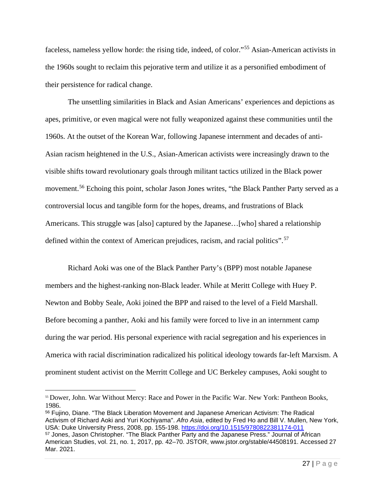faceless, nameless yellow horde: the rising tide, indeed, of color."[55](#page-28-0) Asian-American activists in the 1960s sought to reclaim this pejorative term and utilize it as a personified embodiment of their persistence for radical change.

The unsettling similarities in Black and Asian Americans' experiences and depictions as apes, primitive, or even magical were not fully weaponized against these communities until the 1960s. At the outset of the Korean War, following Japanese internment and decades of anti-Asian racism heightened in the U.S., Asian-American activists were increasingly drawn to the visible shifts toward revolutionary goals through militant tactics utilized in the Black power movement.<sup>[56](#page-28-1)</sup> Echoing this point, scholar Jason Jones writes, "the Black Panther Party served as a controversial locus and tangible form for the hopes, dreams, and frustrations of Black Americans. This struggle was [also] captured by the Japanese…[who] shared a relationship defined within the context of American prejudices, racism, and racial politics".<sup>[57](#page-28-2)</sup>

Richard Aoki was one of the Black Panther Party's (BPP) most notable Japanese members and the highest-ranking non-Black leader. While at Meritt College with Huey P. Newton and Bobby Seale, Aoki joined the BPP and raised to the level of a Field Marshall. Before becoming a panther, Aoki and his family were forced to live in an internment camp during the war period. His personal experience with racial segregation and his experiences in America with racial discrimination radicalized his political ideology towards far-left Marxism. A prominent student activist on the Merritt College and UC Berkeley campuses, Aoki sought to

<span id="page-28-2"></span><span id="page-28-1"></span><sup>56</sup> Fujino, Diane. "The Black Liberation Movement and Japanese American Activism: The Radical Activism of Richard Aoki and Yuri Kochiyama". *Afro Asia*, edited by Fred Ho and Bill V. Mullen, New York, USA: Duke University Press, 2008, pp. 155-198.<https://doi.org/10.1515/9780822381174-011> <sup>57</sup> Jones, Jason Christopher. "The Black Panther Party and the Japanese Press." Journal of African American Studies, vol. 21, no. 1, 2017, pp. 42–70. JSTOR, www.jstor.org/stable/44508191. Accessed 27 Mar. 2021.

<span id="page-28-0"></span><sup>55</sup> Dower, John. War Without Mercy: Race and Power in the Pacific War. New York: Pantheon Books, 1986.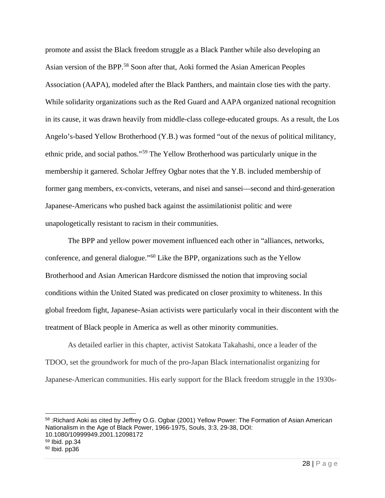promote and assist the Black freedom struggle as a Black Panther while also developing an Asian version of the BPP.[58](#page-29-0) Soon after that, Aoki formed the Asian American Peoples Association (AAPA), modeled after the Black Panthers, and maintain close ties with the party. While solidarity organizations such as the Red Guard and AAPA organized national recognition in its cause, it was drawn heavily from middle-class college-educated groups. As a result, the Los Angelo's-based Yellow Brotherhood (Y.B.) was formed "out of the nexus of political militancy, ethnic pride, and social pathos."[59](#page-29-1) The Yellow Brotherhood was particularly unique in the membership it garnered. Scholar Jeffrey Ogbar notes that the Y.B. included membership of former gang members, ex-convicts, veterans, and nisei and sansei—second and third-generation Japanese-Americans who pushed back against the assimilationist politic and were unapologetically resistant to racism in their communities.

The BPP and yellow power movement influenced each other in "alliances, networks, conference, and general dialogue."[60](#page-29-2) Like the BPP, organizations such as the Yellow Brotherhood and Asian American Hardcore dismissed the notion that improving social conditions within the United Stated was predicated on closer proximity to whiteness. In this global freedom fight, Japanese-Asian activists were particularly vocal in their discontent with the treatment of Black people in America as well as other minority communities.

As detailed earlier in this chapter, activist Satokata Takahashi, once a leader of the TDOO, set the groundwork for much of the pro-Japan Black internationalist organizing for Japanese-American communities. His early support for the Black freedom struggle in the 1930s-

<span id="page-29-2"></span><span id="page-29-1"></span><span id="page-29-0"></span>58 : Richard Aoki as cited by Jeffrey O.G. Ogbar (2001) Yellow Power: The Formation of Asian American Nationalism in the Age of Black Power, 1966-1975, Souls, 3:3, 29-38, DOI: 10.1080/10999949.2001.12098172 <sup>59</sup> Ibid. pp.34  $60$  Ibid. pp36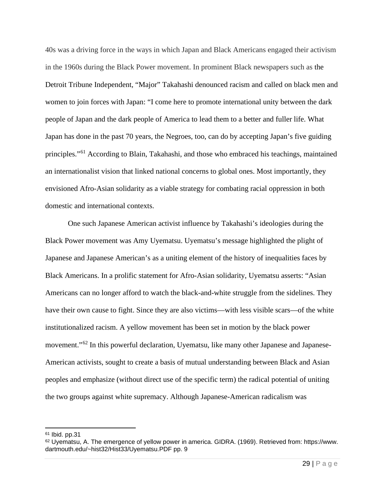40s was a driving force in the ways in which Japan and Black Americans engaged their activism in the 1960s during the Black Power movement. In prominent Black newspapers such as the Detroit Tribune Independent, "Major" Takahashi denounced racism and called on black men and women to join forces with Japan: "I come here to promote international unity between the dark people of Japan and the dark people of America to lead them to a better and fuller life. What Japan has done in the past 70 years, the Negroes, too, can do by accepting Japan's five guiding principles."[61](#page-30-0) According to Blain, Takahashi, and those who embraced his teachings, maintained an internationalist vision that linked national concerns to global ones. Most importantly, they envisioned Afro-Asian solidarity as a viable strategy for combating racial oppression in both domestic and international contexts.

One such Japanese American activist influence by Takahashi's ideologies during the Black Power movement was Amy Uyematsu. Uyematsu's message highlighted the plight of Japanese and Japanese American's as a uniting element of the history of inequalities faces by Black Americans. In a prolific statement for Afro-Asian solidarity, Uyematsu asserts: "Asian Americans can no longer afford to watch the black-and-white struggle from the sidelines. They have their own cause to fight. Since they are also victims—with less visible scars—of the white institutionalized racism. A yellow movement has been set in motion by the black power movement."<sup>62</sup> In this powerful declaration, Uyematsu, like many other Japanese and Japanese-American activists, sought to create a basis of mutual understanding between Black and Asian peoples and emphasize (without direct use of the specific term) the radical potential of uniting the two groups against white supremacy. Although Japanese-American radicalism was

<span id="page-30-0"></span><sup>61</sup> Ibid. pp.31

<span id="page-30-1"></span><sup>62</sup> Uyematsu, A. The emergence of yellow power in america. GIDRA. (1969). Retrieved from: https://www. dartmouth.edu/~hist32/Hist33/Uyematsu.PDF pp. 9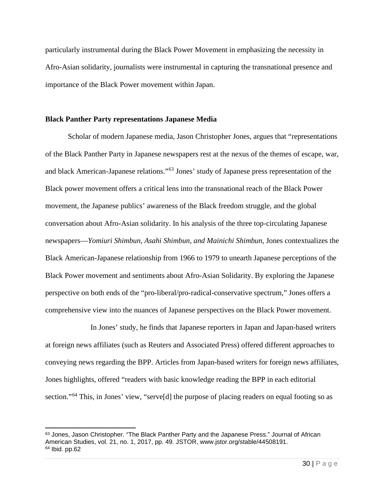particularly instrumental during the Black Power Movement in emphasizing the necessity in Afro-Asian solidarity, journalists were instrumental in capturing the transnational presence and importance of the Black Power movement within Japan.

### **Black Panther Party representations Japanese Media**

Scholar of modern Japanese media, Jason Christopher Jones, argues that "representations of the Black Panther Party in Japanese newspapers rest at the nexus of the themes of escape, war, and black American-Japanese relations."[63](#page-31-0) Jones' study of Japanese press representation of the Black power movement offers a critical lens into the transnational reach of the Black Power movement, the Japanese publics' awareness of the Black freedom struggle, and the global conversation about Afro-Asian solidarity. In his analysis of the three top-circulating Japanese newspapers—*Yomiuri Shimbun, Asahi Shimbun, and Mainichi Shimbun,* Jones contextualizes the Black American-Japanese relationship from 1966 to 1979 to unearth Japanese perceptions of the Black Power movement and sentiments about Afro-Asian Solidarity. By exploring the Japanese perspective on both ends of the "pro-liberal/pro-radical-conservative spectrum," Jones offers a comprehensive view into the nuances of Japanese perspectives on the Black Power movement.

 In Jones' study, he finds that Japanese reporters in Japan and Japan-based writers at foreign news affiliates (such as Reuters and Associated Press) offered different approaches to conveying news regarding the BPP. Articles from Japan-based writers for foreign news affiliates, Jones highlights, offered "readers with basic knowledge reading the BPP in each editorial section."<sup>[64](#page-31-1)</sup> This, in Jones' view, "serve<sup>[d]</sup> the purpose of placing readers on equal footing so as

<span id="page-31-1"></span><span id="page-31-0"></span><sup>63</sup> Jones, Jason Christopher. "The Black Panther Party and the Japanese Press." Journal of African American Studies, vol. 21, no. 1, 2017, pp. 49. JSTOR, www.jstor.org/stable/44508191. <sup>64</sup> Ibid. pp.62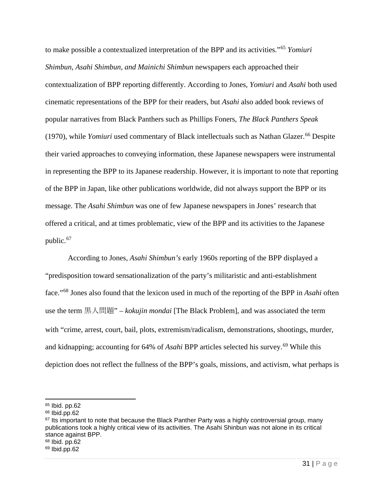to make possible a contextualized interpretation of the BPP and its activities."[65](#page-32-0) *Yomiuri Shimbun, Asahi Shimbun, and Mainichi Shimbun* newspapers each approached their contextualization of BPP reporting differently. According to Jones, *Yomiuri* and *Asahi* both used cinematic representations of the BPP for their readers, but *Asahi* also added book reviews of popular narratives from Black Panthers such as Phillips Foners, *The Black Panthers Speak*  (1970), while *Yomiuri* used commentary of Black intellectuals such as Nathan Glazer. [66](#page-32-1) Despite their varied approaches to conveying information, these Japanese newspapers were instrumental in representing the BPP to its Japanese readership. However, it is important to note that reporting of the BPP in Japan, like other publications worldwide, did not always support the BPP or its message. The *Asahi Shimbun* was one of few Japanese newspapers in Jones' research that offered a critical, and at times problematic, view of the BPP and its activities to the Japanese public.<sup>67</sup>

According to Jones, *Asahi Shimbun's* early 1960s reporting of the BPP displayed a "predisposition toward sensationalization of the party's militaristic and anti-establishment face."[68](#page-32-3) Jones also found that the lexicon used in much of the reporting of the BPP in *Asahi* often use the term 黒人問題" – *kokujin mondai* [The Black Problem], and was associated the term with "crime, arrest, court, bail, plots, extremism/radicalism, demonstrations, shootings, murder, and kidnapping; accounting for 64% of *Asahi* BPP articles selected his survey.<sup>[69](#page-32-4)</sup> While this depiction does not reflect the fullness of the BPP's goals, missions, and activism, what perhaps is

<span id="page-32-0"></span><sup>65</sup> Ibid. pp.62

<span id="page-32-1"></span> $66$  Ibid.pp.62

<span id="page-32-2"></span> $67$  Its important to note that because the Black Panther Party was a highly controversial group, many publications took a highly critical view of its activities. The Asahi Shinbun was not alone in its critical stance against BPP. <sup>68</sup> Ibid. pp.62

<span id="page-32-4"></span><span id="page-32-3"></span> $69$  Ibid.pp.62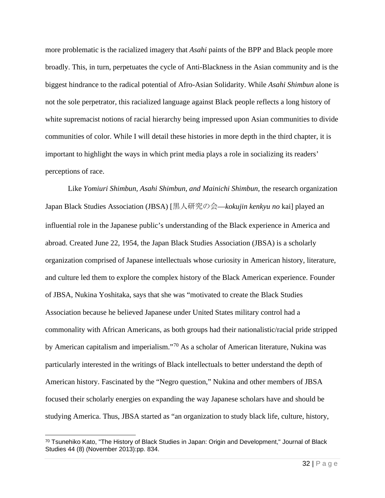more problematic is the racialized imagery that *Asahi* paints of the BPP and Black people more broadly. This, in turn, perpetuates the cycle of Anti-Blackness in the Asian community and is the biggest hindrance to the radical potential of Afro-Asian Solidarity. While *Asahi Shimbun* alone is not the sole perpetrator, this racialized language against Black people reflects a long history of white supremacist notions of racial hierarchy being impressed upon Asian communities to divide communities of color. While I will detail these histories in more depth in the third chapter, it is important to highlight the ways in which print media plays a role in socializing its readers' perceptions of race.

Like *Yomiuri Shimbun, Asahi Shimbun, and Mainichi Shimbun,* the research organization Japan Black Studies Association (JBSA) [黒人研究の会—*kokujin kenkyu no* kai] played an influential role in the Japanese public's understanding of the Black experience in America and abroad. Created June 22, 1954, the Japan Black Studies Association (JBSA) is a scholarly organization comprised of Japanese intellectuals whose curiosity in American history, literature, and culture led them to explore the complex history of the Black American experience. Founder of JBSA, Nukina Yoshitaka, says that she was "motivated to create the Black Studies Association because he believed Japanese under United States military control had a commonality with African Americans, as both groups had their nationalistic/racial pride stripped by American capitalism and imperialism."[70](#page-33-0) As a scholar of American literature, Nukina was particularly interested in the writings of Black intellectuals to better understand the depth of American history. Fascinated by the "Negro question," Nukina and other members of JBSA focused their scholarly energies on expanding the way Japanese scholars have and should be studying America. Thus, JBSA started as "an organization to study black life, culture, history,

<span id="page-33-0"></span><sup>70</sup> Tsunehiko Kato, "The History of Black Studies in Japan: Origin and Development," Journal of Black Studies 44 (8) (November 2013):pp. 834.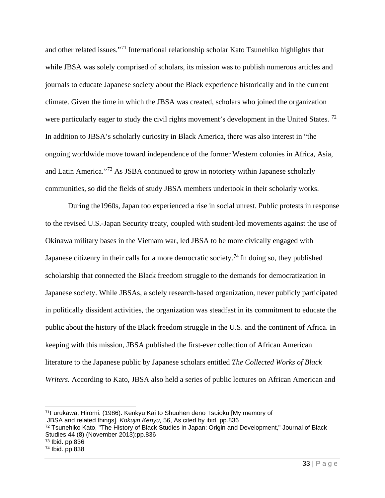and other related issues."[71](#page-34-0) International relationship scholar Kato Tsunehiko highlights that while JBSA was solely comprised of scholars, its mission was to publish numerous articles and journals to educate Japanese society about the Black experience historically and in the current climate. Given the time in which the JBSA was created, scholars who joined the organization were particularly eager to study the civil rights movement's development in the United States.<sup>[72](#page-34-1)</sup> In addition to JBSA's scholarly curiosity in Black America, there was also interest in "the ongoing worldwide move toward independence of the former Western colonies in Africa, Asia, and Latin America."[73](#page-34-2) As JSBA continued to grow in notoriety within Japanese scholarly communities, so did the fields of study JBSA members undertook in their scholarly works.

During the1960s, Japan too experienced a rise in social unrest. Public protests in response to the revised U.S.-Japan Security treaty, coupled with student-led movements against the use of Okinawa military bases in the Vietnam war, led JBSA to be more civically engaged with Japanese citizenry in their calls for a more democratic society.<sup>74</sup> In doing so, they published scholarship that connected the Black freedom struggle to the demands for democratization in Japanese society. While JBSAs, a solely research-based organization, never publicly participated in politically dissident activities, the organization was steadfast in its commitment to educate the public about the history of the Black freedom struggle in the U.S. and the continent of Africa. In keeping with this mission, JBSA published the first-ever collection of African American literature to the Japanese public by Japanese scholars entitled *The Collected Works of Black Writers.* According to Kato, JBSA also held a series of public lectures on African American and

<span id="page-34-0"></span><sup>71</sup>Furukawa, Hiromi. (1986). Kenkyu Kai to Shuuhen deno Tsuioku [My memory of

JBSA and related things]. *Kokujin Kenyu,* 56, As cited by ibid. pp.836

<span id="page-34-1"></span><sup>72</sup> Tsunehiko Kato, "The History of Black Studies in Japan: Origin and Development," Journal of Black Studies 44 (8) (November 2013):pp.836

<span id="page-34-2"></span><sup>73</sup> Ibid. pp.836

<span id="page-34-3"></span><sup>74</sup> Ibid. pp.838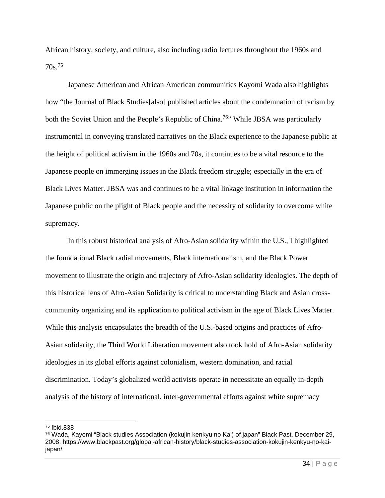African history, society, and culture, also including radio lectures throughout the 1960s and 70s.[75](#page-35-0)

Japanese American and African American communities Kayomi Wada also highlights how "the Journal of Black Studies[also] published articles about the condemnation of racism by both the Soviet Union and the People's Republic of China.<sup>76</sup> While JBSA was particularly instrumental in conveying translated narratives on the Black experience to the Japanese public at the height of political activism in the 1960s and 70s, it continues to be a vital resource to the Japanese people on immerging issues in the Black freedom struggle; especially in the era of Black Lives Matter. JBSA was and continues to be a vital linkage institution in information the Japanese public on the plight of Black people and the necessity of solidarity to overcome white supremacy.

 In this robust historical analysis of Afro-Asian solidarity within the U.S., I highlighted the foundational Black radial movements, Black internationalism, and the Black Power movement to illustrate the origin and trajectory of Afro-Asian solidarity ideologies. The depth of this historical lens of Afro-Asian Solidarity is critical to understanding Black and Asian crosscommunity organizing and its application to political activism in the age of Black Lives Matter. While this analysis encapsulates the breadth of the U.S.-based origins and practices of Afro-Asian solidarity, the Third World Liberation movement also took hold of Afro-Asian solidarity ideologies in its global efforts against colonialism, western domination, and racial discrimination. Today's globalized world activists operate in necessitate an equally in-depth analysis of the history of international, inter-governmental efforts against white supremacy

<span id="page-35-0"></span><sup>75</sup> Ibid.838

<span id="page-35-1"></span><sup>76</sup> Wada, Kayomi "Black studies Association (kokujin kenkyu no Kai) of japan" Black Past. December 29, 2008. https://www.blackpast.org/global-african-history/black-studies-association-kokujin-kenkyu-no-kaijapan/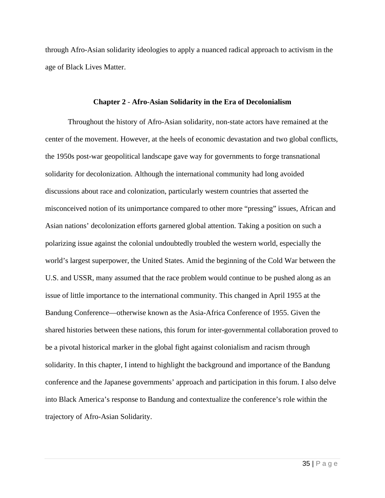through Afro-Asian solidarity ideologies to apply a nuanced radical approach to activism in the age of Black Lives Matter.

#### **Chapter 2** - **Afro-Asian Solidarity in the Era of Decolonialism**

Throughout the history of Afro-Asian solidarity, non-state actors have remained at the center of the movement. However, at the heels of economic devastation and two global conflicts, the 1950s post-war geopolitical landscape gave way for governments to forge transnational solidarity for decolonization. Although the international community had long avoided discussions about race and colonization, particularly western countries that asserted the misconceived notion of its unimportance compared to other more "pressing" issues, African and Asian nations' decolonization efforts garnered global attention. Taking a position on such a polarizing issue against the colonial undoubtedly troubled the western world, especially the world's largest superpower, the United States. Amid the beginning of the Cold War between the U.S. and USSR, many assumed that the race problem would continue to be pushed along as an issue of little importance to the international community. This changed in April 1955 at the Bandung Conference—otherwise known as the Asia-Africa Conference of 1955. Given the shared histories between these nations, this forum for inter-governmental collaboration proved to be a pivotal historical marker in the global fight against colonialism and racism through solidarity. In this chapter, I intend to highlight the background and importance of the Bandung conference and the Japanese governments' approach and participation in this forum. I also delve into Black America's response to Bandung and contextualize the conference's role within the trajectory of Afro-Asian Solidarity.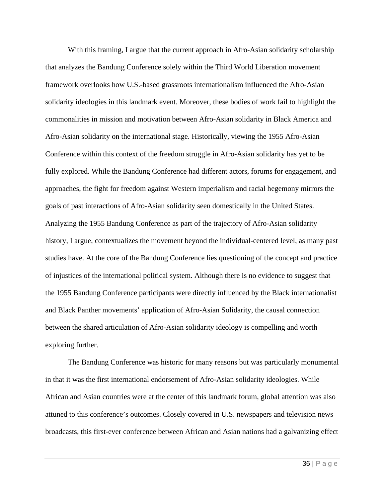With this framing, I argue that the current approach in Afro-Asian solidarity scholarship that analyzes the Bandung Conference solely within the Third World Liberation movement framework overlooks how U.S.-based grassroots internationalism influenced the Afro-Asian solidarity ideologies in this landmark event. Moreover, these bodies of work fail to highlight the commonalities in mission and motivation between Afro-Asian solidarity in Black America and Afro-Asian solidarity on the international stage. Historically, viewing the 1955 Afro-Asian Conference within this context of the freedom struggle in Afro-Asian solidarity has yet to be fully explored. While the Bandung Conference had different actors, forums for engagement, and approaches, the fight for freedom against Western imperialism and racial hegemony mirrors the goals of past interactions of Afro-Asian solidarity seen domestically in the United States. Analyzing the 1955 Bandung Conference as part of the trajectory of Afro-Asian solidarity history, I argue, contextualizes the movement beyond the individual-centered level, as many past studies have. At the core of the Bandung Conference lies questioning of the concept and practice of injustices of the international political system. Although there is no evidence to suggest that the 1955 Bandung Conference participants were directly influenced by the Black internationalist and Black Panther movements' application of Afro-Asian Solidarity, the causal connection between the shared articulation of Afro-Asian solidarity ideology is compelling and worth exploring further.

 The Bandung Conference was historic for many reasons but was particularly monumental in that it was the first international endorsement of Afro-Asian solidarity ideologies. While African and Asian countries were at the center of this landmark forum, global attention was also attuned to this conference's outcomes. Closely covered in U.S. newspapers and television news broadcasts, this first-ever conference between African and Asian nations had a galvanizing effect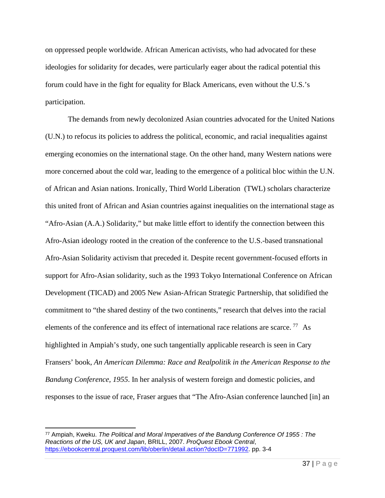on oppressed people worldwide. African American activists, who had advocated for these ideologies for solidarity for decades, were particularly eager about the radical potential this forum could have in the fight for equality for Black Americans, even without the U.S.'s participation.

The demands from newly decolonized Asian countries advocated for the United Nations (U.N.) to refocus its policies to address the political, economic, and racial inequalities against emerging economies on the international stage. On the other hand, many Western nations were more concerned about the cold war, leading to the emergence of a political bloc within the U.N. of African and Asian nations. Ironically, Third World Liberation (TWL) scholars characterize this united front of African and Asian countries against inequalities on the international stage as "Afro-Asian (A.A.) Solidarity," but make little effort to identify the connection between this Afro-Asian ideology rooted in the creation of the conference to the U.S.-based transnational Afro-Asian Solidarity activism that preceded it. Despite recent government-focused efforts in support for Afro-Asian solidarity, such as the 1993 Tokyo International Conference on African Development (TICAD) and 2005 New Asian-African Strategic Partnership, that solidified the commitment to "the shared destiny of the two continents," research that delves into the racial elements of the conference and its effect of international race relations are scarce.<sup>[77](#page-38-0)</sup> As highlighted in Ampiah's study, one such tangentially applicable research is seen in Cary Fransers' book, *An American Dilemma: Race and Realpolitik in the American Response to the Bandung Conference, 1955*. In her analysis of western foreign and domestic policies, and responses to the issue of race, Fraser argues that "The Afro-Asian conference launched [in] an

<span id="page-38-0"></span><sup>77</sup> Ampiah, Kweku. *The Political and Moral Imperatives of the Bandung Conference Of 1955 : The Reactions of the US, UK and Japan*, BRILL, 2007. *ProQuest Ebook Central*, [https://ebookcentral.proquest.com/lib/oberlin/detail.action?docID=771992.](https://ebookcentral.proquest.com/lib/oberlin/detail.action?docID=771992) pp. 3-4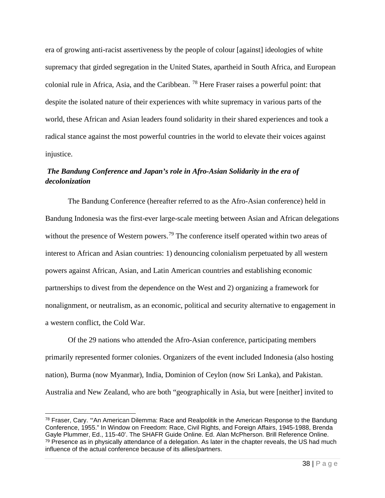era of growing anti-racist assertiveness by the people of colour [against] ideologies of white supremacy that girded segregation in the United States, apartheid in South Africa, and European colonial rule in Africa, Asia, and the Caribbean. [78](#page-39-0) Here Fraser raises a powerful point: that despite the isolated nature of their experiences with white supremacy in various parts of the world, these African and Asian leaders found solidarity in their shared experiences and took a radical stance against the most powerful countries in the world to elevate their voices against injustice.

### *The Bandung Conference and Japan's role in Afro-Asian Solidarity in the era of decolonization*

The Bandung Conference (hereafter referred to as the Afro-Asian conference) held in Bandung Indonesia was the first-ever large-scale meeting between Asian and African delegations without the presence of Western powers.<sup>[79](#page-39-1)</sup> The conference itself operated within two areas of interest to African and Asian countries: 1) denouncing colonialism perpetuated by all western powers against African, Asian, and Latin American countries and establishing economic partnerships to divest from the dependence on the West and 2) organizing a framework for nonalignment, or neutralism, as an economic, political and security alternative to engagement in a western conflict, the Cold War.

Of the 29 nations who attended the Afro-Asian conference, participating members primarily represented former colonies. Organizers of the event included Indonesia (also hosting nation), Burma (now Myanmar), India, Dominion of Ceylon (now Sri Lanka), and Pakistan. Australia and New Zealand, who are both "geographically in Asia, but were [neither] invited to

<span id="page-39-1"></span><span id="page-39-0"></span><sup>78</sup> Fraser, Cary. '"An American Dilemma: Race and Realpolitik in the American Response to the Bandung Conference, 1955." In Window on Freedom: Race, Civil Rights, and Foreign Affairs, 1945-1988, Brenda Gayle Plummer, Ed., 115-40'. The SHAFR Guide Online. Ed. Alan McPherson. Brill Reference Online.  $79$  Presence as in physically attendance of a delegation. As later in the chapter reveals, the US had much influence of the actual conference because of its allies/partners.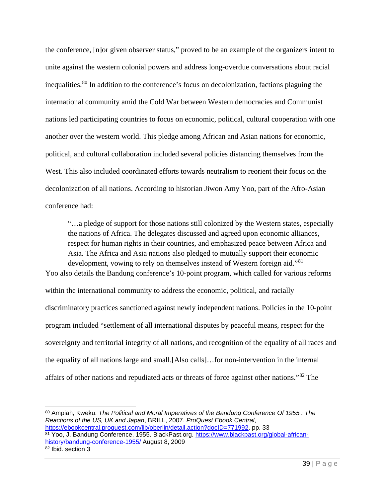the conference, [n]or given observer status," proved to be an example of the organizers intent to unite against the western colonial powers and address long-overdue conversations about racial inequalities.[80](#page-40-0) In addition to the conference's focus on decolonization, factions plaguing the international community amid the Cold War between Western democracies and Communist nations led participating countries to focus on economic, political, cultural cooperation with one another over the western world. This pledge among African and Asian nations for economic, political, and cultural collaboration included several policies distancing themselves from the West. This also included coordinated efforts towards neutralism to reorient their focus on the decolonization of all nations. According to historian Jiwon Amy Yoo, part of the Afro-Asian conference had:

"…a pledge of support for those nations still colonized by the Western states, especially the nations of Africa. The delegates discussed and agreed upon economic alliances, respect for human rights in their countries, and emphasized peace between Africa and Asia. The Africa and Asia nations also pledged to mutually support their economic development, vowing to rely on themselves instead of Western foreign aid."<sup>[81](#page-40-1)</sup> Yoo also details the Bandung conference's 10-point program, which called for various reforms

within the international community to address the economic, political, and racially discriminatory practices sanctioned against newly independent nations. Policies in the 10-point program included "settlement of all international disputes by peaceful means, respect for the sovereignty and territorial integrity of all nations, and recognition of the equality of all races and the equality of all nations large and small.[Also calls]…for non-intervention in the internal affairs of other nations and repudiated acts or threats of force against other nations."[82](#page-40-2) The

<span id="page-40-2"></span><span id="page-40-1"></span><span id="page-40-0"></span><sup>80</sup> Ampiah, Kweku. *The Political and Moral Imperatives of the Bandung Conference Of 1955 : The Reactions of the US, UK and Japan*, BRILL, 2007. *ProQuest Ebook Central*, [https://ebookcentral.proquest.com/lib/oberlin/detail.action?docID=771992.](https://ebookcentral.proquest.com/lib/oberlin/detail.action?docID=771992)pp. 33 <sup>81</sup> Yoo, J. Bandung Conference, 1955. BlackPast.org. [https://www.blackpast.org/global-african](https://www.blackpast.org/global-african-history/bandung-conference-1955/)[history/bandung-conference-1955/](https://www.blackpast.org/global-african-history/bandung-conference-1955/) August 8, 2009  $82$  Ibid. section  $3$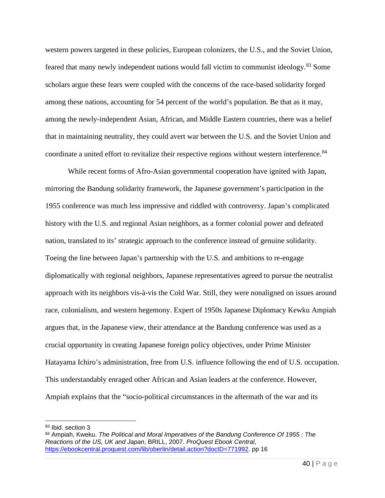western powers targeted in these policies, European colonizers, the U.S., and the Soviet Union, feared that many newly independent nations would fall victim to communist ideology.[83](#page-41-0) Some scholars argue these fears were coupled with the concerns of the race-based solidarity forged among these nations, accounting for 54 percent of the world's population. Be that as it may, among the newly-independent Asian, African, and Middle Eastern countries, there was a belief that in maintaining neutrality, they could avert war between the U.S. and the Soviet Union and coordinate a united effort to revitalize their respective regions without western interference.<sup>[84](#page-41-1)</sup>

While recent forms of Afro-Asian governmental cooperation have ignited with Japan, mirroring the Bandung solidarity framework, the Japanese government's participation in the 1955 conference was much less impressive and riddled with controversy. Japan's complicated history with the U.S. and regional Asian neighbors, as a former colonial power and defeated nation, translated to its' strategic approach to the conference instead of genuine solidarity. Toeing the line between Japan's partnership with the U.S. and ambitions to re-engage diplomatically with regional neighbors, Japanese representatives agreed to pursue the neutralist approach with its neighbors vis-à-vis the Cold War. Still, they were nonaligned on issues around race, colonialism, and western hegemony. Expert of 1950s Japanese Diplomacy Kewku Ampiah argues that, in the Japanese view, their attendance at the Bandung conference was used as a crucial opportunity in creating Japanese foreign policy objectives, under Prime Minister Hatayama Ichiro's administration, free from U.S. influence following the end of U.S. occupation. This understandably enraged other African and Asian leaders at the conference. However, Ampiah explains that the "socio-political circumstances in the aftermath of the war and its

<span id="page-41-0"></span><sup>83</sup> Ibid. section 3

<span id="page-41-1"></span><sup>84</sup> Ampiah, Kweku. *The Political and Moral Imperatives of the Bandung Conference Of 1955 : The Reactions of the US, UK and Japan*, BRILL, 2007. *ProQuest Ebook Central*, [https://ebookcentral.proquest.com/lib/oberlin/detail.action?docID=771992.](https://ebookcentral.proquest.com/lib/oberlin/detail.action?docID=771992)pp 16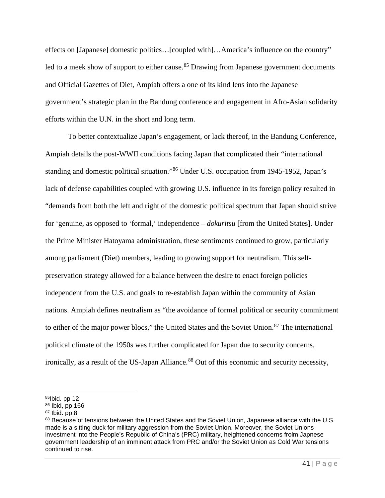effects on [Japanese] domestic politics…[coupled with]…America's influence on the country" led to a meek show of support to either cause.<sup>85</sup> Drawing from Japanese government documents and Official Gazettes of Diet, Ampiah offers a one of its kind lens into the Japanese government's strategic plan in the Bandung conference and engagement in Afro-Asian solidarity efforts within the U.N. in the short and long term.

 To better contextualize Japan's engagement, or lack thereof, in the Bandung Conference, Ampiah details the post-WWII conditions facing Japan that complicated their "international standing and domestic political situation."[86](#page-42-1) Under U.S. occupation from 1945-1952, Japan's lack of defense capabilities coupled with growing U.S. influence in its foreign policy resulted in "demands from both the left and right of the domestic political spectrum that Japan should strive for 'genuine, as opposed to 'formal,' independence – *dokuritsu* [from the United States]. Under the Prime Minister Hatoyama administration, these sentiments continued to grow, particularly among parliament (Diet) members, leading to growing support for neutralism. This selfpreservation strategy allowed for a balance between the desire to enact foreign policies independent from the U.S. and goals to re-establish Japan within the community of Asian nations. Ampiah defines neutralism as "the avoidance of formal political or security commitment to either of the major power blocs," the United States and the Soviet Union.<sup>[87](#page-42-2)</sup> The international political climate of the 1950s was further complicated for Japan due to security concerns, ironically, as a result of the US-Japan Alliance.<sup>88</sup> Out of this economic and security necessity,

<span id="page-42-0"></span> $85$ Ibid. pp 12

<span id="page-42-1"></span><sup>86</sup> Ibid, pp.166

<span id="page-42-2"></span> $87$  Ibid. pp.8

<span id="page-42-3"></span><sup>88</sup> Because of tensions between the United States and the Soviet Union, Japanese alliance with the U.S. made is a sitting duck for military aggression from the Soviet Union. Moreover, the Soviet Unions investment into the People's Republic of China's (PRC) military, heightened concerns frolm Japnese government leadership of an imminent attack from PRC and/or the Soviet Union as Cold War tensions continued to rise.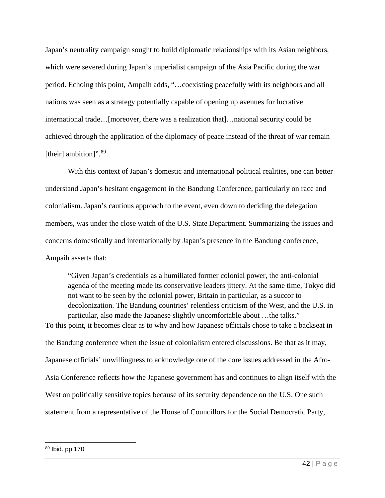Japan's neutrality campaign sought to build diplomatic relationships with its Asian neighbors, which were severed during Japan's imperialist campaign of the Asia Pacific during the war period. Echoing this point, Ampaih adds, "…coexisting peacefully with its neighbors and all nations was seen as a strategy potentially capable of opening up avenues for lucrative international trade…[moreover, there was a realization that]…national security could be achieved through the application of the diplomacy of peace instead of the threat of war remain [their] ambition]".<sup>[89](#page-43-0)</sup>

 With this context of Japan's domestic and international political realities, one can better understand Japan's hesitant engagement in the Bandung Conference, particularly on race and colonialism. Japan's cautious approach to the event, even down to deciding the delegation members, was under the close watch of the U.S. State Department. Summarizing the issues and concerns domestically and internationally by Japan's presence in the Bandung conference, Ampaih asserts that:

"Given Japan's credentials as a humiliated former colonial power, the anti-colonial agenda of the meeting made its conservative leaders jittery. At the same time, Tokyo did not want to be seen by the colonial power, Britain in particular, as a succor to decolonization. The Bandung countries' relentless criticism of the West, and the U.S. in particular, also made the Japanese slightly uncomfortable about …the talks." To this point, it becomes clear as to why and how Japanese officials chose to take a backseat in the Bandung conference when the issue of colonialism entered discussions. Be that as it may, Japanese officials' unwillingness to acknowledge one of the core issues addressed in the Afro-Asia Conference reflects how the Japanese government has and continues to align itself with the West on politically sensitive topics because of its security dependence on the U.S. One such statement from a representative of the House of Councillors for the Social Democratic Party,

<span id="page-43-0"></span><sup>89</sup> Ibid. pp.170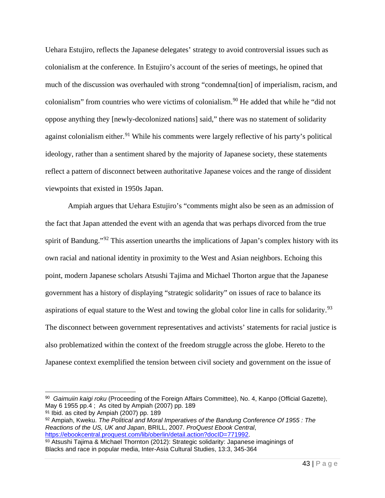Uehara Estujiro, reflects the Japanese delegates' strategy to avoid controversial issues such as colonialism at the conference. In Estujiro's account of the series of meetings, he opined that much of the discussion was overhauled with strong "condemna[tion] of imperialism, racism, and colonialism" from countries who were victims of colonialism.<sup>[90](#page-44-0)</sup> He added that while he "did not oppose anything they [newly-decolonized nations] said," there was no statement of solidarity against colonialism either.<sup>[91](#page-44-1)</sup> While his comments were largely reflective of his party's political ideology, rather than a sentiment shared by the majority of Japanese society, these statements reflect a pattern of disconnect between authoritative Japanese voices and the range of dissident viewpoints that existed in 1950s Japan.

Ampiah argues that Uehara Estujiro's "comments might also be seen as an admission of the fact that Japan attended the event with an agenda that was perhaps divorced from the true spirit of Bandung."<sup>[92](#page-44-2)</sup> This assertion unearths the implications of Japan's complex history with its own racial and national identity in proximity to the West and Asian neighbors. Echoing this point, modern Japanese scholars Atsushi Tajima and Michael Thorton argue that the Japanese government has a history of displaying "strategic solidarity" on issues of race to balance its aspirations of equal stature to the West and towing the global color line in calls for solidarity.<sup>[93](#page-44-3)</sup> The disconnect between government representatives and activists' statements for racial justice is also problematized within the context of the freedom struggle across the globe. Hereto to the Japanese context exemplified the tension between civil society and government on the issue of

<span id="page-44-0"></span><sup>90</sup> *Gaimuiin kaigi roku* (Proceeding of the Foreign Affairs Committee), No. 4, Kanpo (Official Gazette), May 6 1955 pp.4 ; As cited by Ampiah (2007) pp. 189

<span id="page-44-1"></span><sup>91</sup> Ibid. as cited by Ampiah (2007) pp. 189

<span id="page-44-2"></span><sup>92</sup> Ampiah, Kweku. *The Political and Moral Imperatives of the Bandung Conference Of 1955 : The Reactions of the US, UK and Japan*, BRILL, 2007. *ProQuest Ebook Central*,

<span id="page-44-3"></span> $93$  Atsushi Tajima & Michael Thornton (2012): Strategic solidarity: Japanese imaginings of Blacks and race in popular media, Inter-Asia Cultural Studies, 13:3, 345-364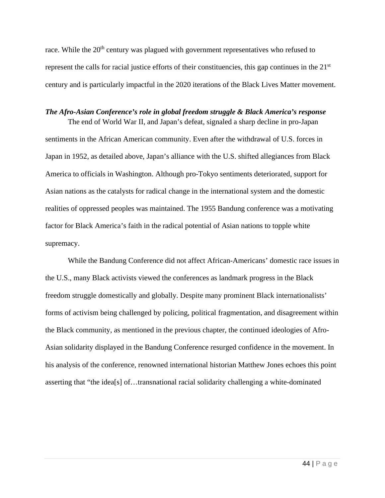race. While the 20<sup>th</sup> century was plagued with government representatives who refused to represent the calls for racial justice efforts of their constituencies, this gap continues in the 21<sup>st</sup> century and is particularly impactful in the 2020 iterations of the Black Lives Matter movement.

### *The Afro-Asian Conference's role in global freedom struggle & Black America's response*  The end of World War II, and Japan's defeat, signaled a sharp decline in pro-Japan

sentiments in the African American community. Even after the withdrawal of U.S. forces in Japan in 1952, as detailed above, Japan's alliance with the U.S. shifted allegiances from Black America to officials in Washington. Although pro-Tokyo sentiments deteriorated, support for Asian nations as the catalysts for radical change in the international system and the domestic realities of oppressed peoples was maintained. The 1955 Bandung conference was a motivating factor for Black America's faith in the radical potential of Asian nations to topple white supremacy.

While the Bandung Conference did not affect African-Americans' domestic race issues in the U.S., many Black activists viewed the conferences as landmark progress in the Black freedom struggle domestically and globally. Despite many prominent Black internationalists' forms of activism being challenged by policing, political fragmentation, and disagreement within the Black community, as mentioned in the previous chapter, the continued ideologies of Afro-Asian solidarity displayed in the Bandung Conference resurged confidence in the movement. In his analysis of the conference, renowned international historian Matthew Jones echoes this point asserting that "the idea[s] of…transnational racial solidarity challenging a white-dominated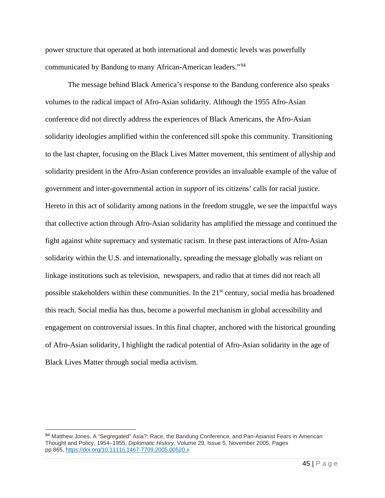power structure that operated at both international and domestic levels was powerfully communicated by Bandung to many African-American leaders."[94](#page-46-0) 

The message behind Black America's response to the Bandung conference also speaks volumes to the radical impact of Afro-Asian solidarity. Although the 1955 Afro-Asian conference did not directly address the experiences of Black Americans, the Afro-Asian solidarity ideologies amplified within the conferenced sill spoke this community. Transitioning to the last chapter, focusing on the Black Lives Matter movement, this sentiment of allyship and solidarity president in the Afro-Asian conference provides an invaluable example of the value of government and inter-governmental action in *support* of its citizens' calls for racial justice. Hereto in this act of solidarity among nations in the freedom struggle, we see the impactful ways that collective action through Afro-Asian solidarity has amplified the message and continued the fight against white supremacy and systematic racism. In these past interactions of Afro-Asian solidarity within the U.S. and internationally, spreading the message globally was reliant on linkage institutions such as television, newspapers, and radio that at times did not reach all possible stakeholders within these communities. In the 21<sup>st</sup> century, social media has broadened this reach. Social media has thus, become a powerful mechanism in global accessibility and engagement on controversial issues. In this final chapter, anchored with the historical grounding of Afro-Asian solidarity, I highlight the radical potential of Afro-Asian solidarity in the age of Black Lives Matter through social media activism.

<span id="page-46-0"></span><sup>94</sup> Matthew Jones, A "Segregated" Asia?: Race, the Bandung Conference, and Pan-Asianist Fears in American Thought and Policy, 1954–1955, *Diplomatic History*, Volume 29, Issue 5, November 2005, Pages pp.865, <https://doi.org/10.1111/j.1467-7709.2005.00520.x>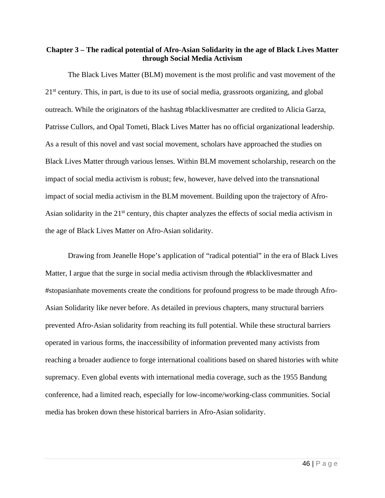### **Chapter 3 – The radical potential of Afro-Asian Solidarity in the age of Black Lives Matter through Social Media Activism**

The Black Lives Matter (BLM) movement is the most prolific and vast movement of the 21<sup>st</sup> century. This, in part, is due to its use of social media, grassroots organizing, and global outreach. While the originators of the hashtag #blacklivesmatter are credited to Alicia Garza, Patrisse Cullors, and Opal Tometi, Black Lives Matter has no official organizational leadership. As a result of this novel and vast social movement, scholars have approached the studies on Black Lives Matter through various lenses. Within BLM movement scholarship, research on the impact of social media activism is robust; few, however, have delved into the transnational impact of social media activism in the BLM movement. Building upon the trajectory of Afro-Asian solidarity in the 21<sup>st</sup> century, this chapter analyzes the effects of social media activism in the age of Black Lives Matter on Afro-Asian solidarity.

Drawing from Jeanelle Hope's application of "radical potential" in the era of Black Lives Matter, I argue that the surge in social media activism through the #blacklivesmatter and #stopasianhate movements create the conditions for profound progress to be made through Afro-Asian Solidarity like never before. As detailed in previous chapters, many structural barriers prevented Afro-Asian solidarity from reaching its full potential. While these structural barriers operated in various forms, the inaccessibility of information prevented many activists from reaching a broader audience to forge international coalitions based on shared histories with white supremacy. Even global events with international media coverage, such as the 1955 Bandung conference, had a limited reach, especially for low-income/working-class communities. Social media has broken down these historical barriers in Afro-Asian solidarity.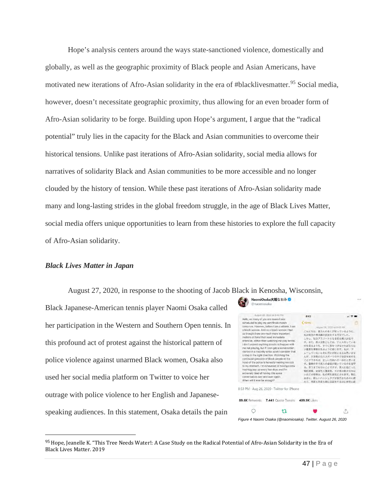Hope's analysis centers around the ways state-sanctioned violence, domestically and globally, as well as the geographic proximity of Black people and Asian Americans, have motivated new iterations of Afro-Asian solidarity in the era of #blacklivesmatter.<sup>[95](#page-48-0)</sup> Social media, however, doesn't necessitate geographic proximity, thus allowing for an even broader form of Afro-Asian solidarity to be forge. Building upon Hope's argument, I argue that the "radical potential" truly lies in the capacity for the Black and Asian communities to overcome their historical tensions. Unlike past iterations of Afro-Asian solidarity, social media allows for narratives of solidarity Black and Asian communities to be more accessible and no longer clouded by the history of tension. While these past iterations of Afro-Asian solidarity made many and long-lasting strides in the global freedom struggle, in the age of Black Lives Matter, social media offers unique opportunities to learn from these histories to explore the full capacity of Afro-Asian solidarity.

#### *Black Lives Matter in Japan*

August 27, 2020, in response to the shooting of Jacob Black in Kenosha, Wisconsin,

<span id="page-48-0"></span>Black Japanese-American tennis player Naomi Osaka called her participation in the Western and Southern Open tennis. In this profound act of protest against the historical pattern of police violence against unarmed Black women, Osaka also used her social media platform on Twitter to voice her outrage with police violence to her English and Japanesespeaking audiences. In this statement, Osaka details the pain



<sup>95</sup> Hope, Jeanelle K. "This Tree Needs Water!: A Case Study on the Radical Potential of Afro-Asian Solidarity in the Era of Black Lives Matter. 2019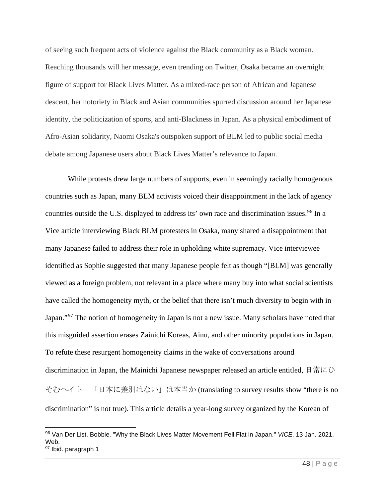of seeing such frequent acts of violence against the Black community as a Black woman. Reaching thousands will her message, even trending on Twitter, Osaka became an overnight figure of support for Black Lives Matter. As a mixed-race person of African and Japanese descent, her notoriety in Black and Asian communities spurred discussion around her Japanese identity, the politicization of sports, and anti-Blackness in Japan. As a physical embodiment of Afro-Asian solidarity, Naomi Osaka's outspoken support of BLM led to public social media debate among Japanese users about Black Lives Matter's relevance to Japan.

While protests drew large numbers of supports, even in seemingly racially homogenous countries such as Japan, many BLM activists voiced their disappointment in the lack of agency countries outside the U.S. displayed to address its' own race and discrimination issues.<sup>[96](#page-49-0)</sup> In a Vice article interviewing Black BLM protesters in Osaka, many shared a disappointment that many Japanese failed to address their role in upholding white supremacy. Vice interviewee identified as Sophie suggested that many Japanese people felt as though "[BLM] was generally viewed as a foreign problem, not relevant in a place where many buy into what social scientists have called the homogeneity myth, or the belief that there isn't much diversity to begin with in Japan."<sup>[97](#page-49-1)</sup> The notion of homogeneity in Japan is not a new issue. Many scholars have noted that this misguided assertion erases Zainichi Koreas, Ainu, and other minority populations in Japan. To refute these resurgent homogeneity claims in the wake of conversations around discrimination in Japan, the Mainichi Japanese newspaper released an article entitled, 日常にひ そむヘイト 「日本に差別はない」は本当か (translating to survey results show "there is no discrimination" is not true). This article details a year-long survey organized by the Korean of

<span id="page-49-1"></span><span id="page-49-0"></span><sup>96</sup> Van Der List, Bobbie. "Why the Black Lives Matter Movement Fell Flat in Japan." *VICE*. 13 Jan. 2021. Web. 97 Ibid. paragraph 1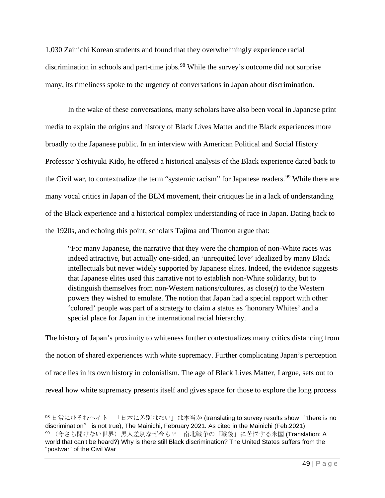1,030 Zainichi Korean students and found that they overwhelmingly experience racial discrimination in schools and part-time jobs.<sup>[98](#page-50-0)</sup> While the survey's outcome did not surprise many, its timeliness spoke to the urgency of conversations in Japan about discrimination.

 In the wake of these conversations, many scholars have also been vocal in Japanese print media to explain the origins and history of Black Lives Matter and the Black experiences more broadly to the Japanese public. In an interview with American Political and Social History Professor Yoshiyuki Kido, he offered a historical analysis of the Black experience dated back to the Civil war, to contextualize the term "systemic racism" for Japanese readers.<sup>[99](#page-50-1)</sup> While there are many vocal critics in Japan of the BLM movement, their critiques lie in a lack of understanding of the Black experience and a historical complex understanding of race in Japan. Dating back to the 1920s, and echoing this point, scholars Tajima and Thorton argue that:

"For many Japanese, the narrative that they were the champion of non-White races was indeed attractive, but actually one-sided, an 'unrequited love' idealized by many Black intellectuals but never widely supported by Japanese elites. Indeed, the evidence suggests that Japanese elites used this narrative not to establish non-White solidarity, but to distinguish themselves from non-Western nations/cultures, as close(r) to the Western powers they wished to emulate. The notion that Japan had a special rapport with other 'colored' people was part of a strategy to claim a status as 'honorary Whites' and a special place for Japan in the international racial hierarchy.

The history of Japan's proximity to whiteness further contextualizes many critics distancing from the notion of shared experiences with white supremacy. Further complicating Japan's perception of race lies in its own history in colonialism. The age of Black Lives Matter, I argue, sets out to reveal how white supremacy presents itself and gives space for those to explore the long process

<span id="page-50-1"></span><span id="page-50-0"></span><sup>98</sup> 日常にひそむヘイト 「日本に差別はない」は本当か (translating to survey results show "there is no discrimination" is not true), The Mainichi, February 2021. As cited in the Mainichi (Feb.2021) 99 (今さら聞けない世界)黒人差別なぜ今も? 南北戦争の「戦後」に苦悩する米国 (Translation: A world that can't be heard?) Why is there still Black discrimination? The United States suffers from the "postwar" of the Civil War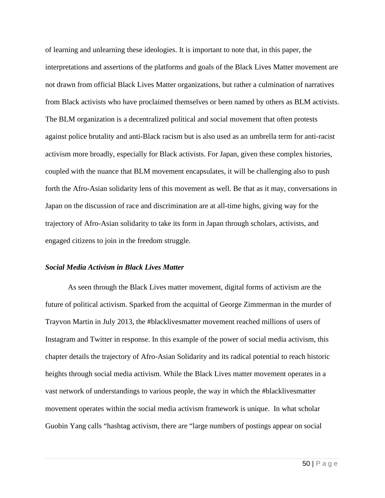of learning and unlearning these ideologies. It is important to note that, in this paper, the interpretations and assertions of the platforms and goals of the Black Lives Matter movement are not drawn from official Black Lives Matter organizations, but rather a culmination of narratives from Black activists who have proclaimed themselves or been named by others as BLM activists. The BLM organization is a decentralized political and social movement that often protests against police brutality and anti-Black racism but is also used as an umbrella term for anti-racist activism more broadly, especially for Black activists. For Japan, given these complex histories, coupled with the nuance that BLM movement encapsulates, it will be challenging also to push forth the Afro-Asian solidarity lens of this movement as well. Be that as it may, conversations in Japan on the discussion of race and discrimination are at all-time highs, giving way for the trajectory of Afro-Asian solidarity to take its form in Japan through scholars, activists, and engaged citizens to join in the freedom struggle.

### *Social Media Activism in Black Lives Matter*

As seen through the Black Lives matter movement, digital forms of activism are the future of political activism. Sparked from the acquittal of George Zimmerman in the murder of Trayvon Martin in July 2013, the #blacklivesmatter movement reached millions of users of Instagram and Twitter in response. In this example of the power of social media activism, this chapter details the trajectory of Afro-Asian Solidarity and its radical potential to reach historic heights through social media activism. While the Black Lives matter movement operates in a vast network of understandings to various people, the way in which the #blacklivesmatter movement operates within the social media activism framework is unique. In what scholar Guobin Yang calls "hashtag activism, there are "large numbers of postings appear on social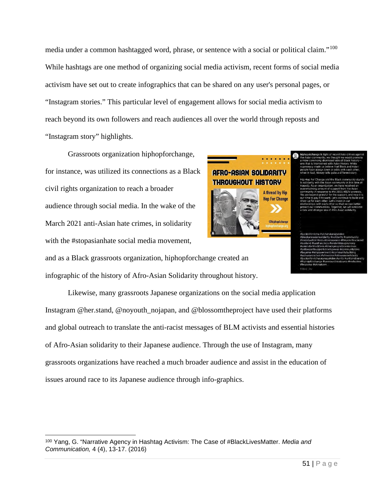media under a common hashtagged word, phrase, or sentence with a social or political claim."<sup>[100](#page-52-0)</sup> While hashtags are one method of organizing social media activism, recent forms of social media activism have set out to create infographics that can be shared on any user's personal pages, or "Instagram stories." This particular level of engagement allows for social media activism to reach beyond its own followers and reach audiences all over the world through reposts and "Instagram story" highlights.

 Grassroots organization hiphopforchange, for instance, was utilized its connections as a Black civil rights organization to reach a broader audience through social media. In the wake of the March 2021 anti-Asian hate crimes, in solidarity with the #stopasianhate social media movement,

## **AFRO-ASIAN SOLIDARITY THROUGHOUT HISTORY**



and as a Black grassroots organization, hiphopforchange created an infographic of the history of Afro-Asian Solidarity throughout history.

 Likewise, many grassroots Japanese organizations on the social media application Instagram @her.stand, @noyouth\_nojapan, and @blossomtheproject have used their platforms and global outreach to translate the anti-racist messages of BLM activists and essential histories of Afro-Asian solidarity to their Japanese audience. Through the use of Instagram, many grassroots organizations have reached a much broader audience and assist in the education of issues around race to its Japanese audience through info-graphics.

<span id="page-52-0"></span><sup>100</sup> Yang, G. "Narrative Agency in Hashtag Activism: The Case of #BlackLivesMatter. *Media and Communication,* 4 (4), 13-17. (2016)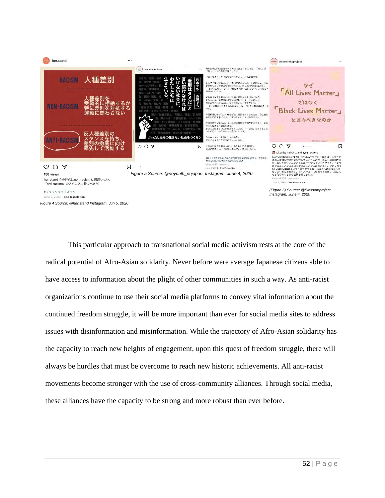

This particular approach to transnational social media activism rests at the core of the radical potential of Afro-Asian solidarity. Never before were average Japanese citizens able to have access to information about the plight of other communities in such a way. As anti-racist organizations continue to use their social media platforms to convey vital information about the continued freedom struggle, it will be more important than ever for social media sites to address issues with disinformation and misinformation. While the trajectory of Afro-Asian solidarity has the capacity to reach new heights of engagement, upon this quest of freedom struggle, there will always be hurdles that must be overcome to reach new historic achievements. All anti-racist movements become stronger with the use of cross-community alliances. Through social media, these alliances have the capacity to be strong and more robust than ever before.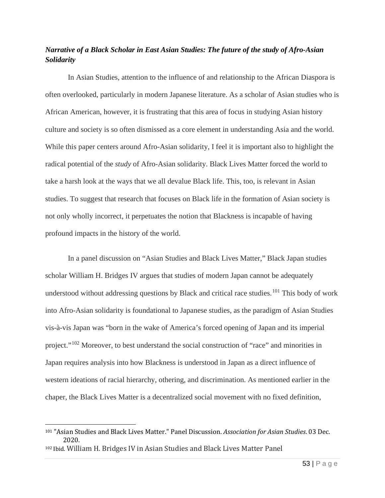### *Narrative of a Black Scholar in East Asian Studies: The future of the study of Afro-Asian Solidarity*

In Asian Studies, attention to the influence of and relationship to the African Diaspora is often overlooked, particularly in modern Japanese literature. As a scholar of Asian studies who is African American, however, it is frustrating that this area of focus in studying Asian history culture and society is so often dismissed as a core element in understanding Asia and the world. While this paper centers around Afro-Asian solidarity, I feel it is important also to highlight the radical potential of the *study* of Afro-Asian solidarity. Black Lives Matter forced the world to take a harsh look at the ways that we all devalue Black life. This, too, is relevant in Asian studies. To suggest that research that focuses on Black life in the formation of Asian society is not only wholly incorrect, it perpetuates the notion that Blackness is incapable of having profound impacts in the history of the world.

In a panel discussion on "Asian Studies and Black Lives Matter," Black Japan studies scholar William H. Bridges IV argues that studies of modern Japan cannot be adequately understood without addressing questions by Black and critical race studies.<sup>[101](#page-54-0)</sup> This body of work into Afro-Asian solidarity is foundational to Japanese studies, as the paradigm of Asian Studies vis-à-vis Japan was "born in the wake of America's forced opening of Japan and its imperial project."<sup>[102](#page-54-1)</sup> Moreover, to best understand the social construction of "race" and minorities in Japan requires analysis into how Blackness is understood in Japan as a direct influence of western ideations of racial hierarchy, othering, and discrimination. As mentioned earlier in the chaper, the Black Lives Matter is a decentralized social movement with no fixed definition,

<span id="page-54-0"></span><sup>101</sup> "Asian Studies and Black Lives Matter." Panel Discussion. *Association for Asian Studies*. 03 Dec. 2020.

<span id="page-54-1"></span><sup>102</sup> Ibid. William H. Bridges IV in Asian Studies and Black Lives Matter Panel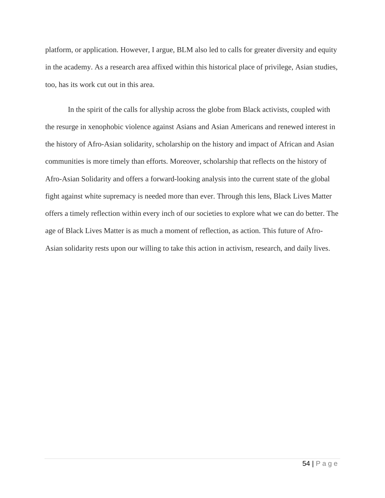platform, or application. However, I argue, BLM also led to calls for greater diversity and equity in the academy. As a research area affixed within this historical place of privilege, Asian studies, too, has its work cut out in this area.

In the spirit of the calls for allyship across the globe from Black activists, coupled with the resurge in xenophobic violence against Asians and Asian Americans and renewed interest in the history of Afro-Asian solidarity, scholarship on the history and impact of African and Asian communities is more timely than efforts. Moreover, scholarship that reflects on the history of Afro-Asian Solidarity and offers a forward-looking analysis into the current state of the global fight against white supremacy is needed more than ever. Through this lens, Black Lives Matter offers a timely reflection within every inch of our societies to explore what we can do better. The age of Black Lives Matter is as much a moment of reflection, as action. This future of Afro-Asian solidarity rests upon our willing to take this action in activism, research, and daily lives.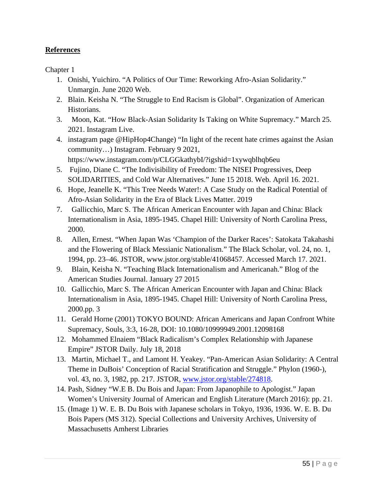### **References**

Chapter 1

- 1. Onishi, Yuichiro. "A Politics of Our Time: Reworking Afro-Asian Solidarity." Unmargin. June 2020 Web.
- 2. Blain. Keisha N. "The Struggle to End Racism is Global". Organization of American Historians.
- 3. Moon, Kat. "How Black-Asian Solidarity Is Taking on White Supremacy." March 25. 2021. Instagram Live.
- 4. instagram page @HipHop4Change) "In light of the recent hate crimes against the Asian community…) Instagram. February 9 2021, https://www.instagram.com/p/CLGGkathybI/?igshid=1xywqblhqb6eu
- 5. Fujino, Diane C. "The Indivisibility of Freedom: The NISEI Progressives, Deep SOLIDARITIES, and Cold War Alternatives." June 15 2018. Web. April 16. 2021.
- 6. Hope, Jeanelle K. "This Tree Needs Water!: A Case Study on the Radical Potential of Afro-Asian Solidarity in the Era of Black Lives Matter. 2019
- 7. Gallicchio, Marc S. The African American Encounter with Japan and China: Black Internationalism in Asia, 1895-1945. Chapel Hill: University of North Carolina Press, 2000.
- 8. Allen, Ernest. "When Japan Was 'Champion of the Darker Races': Satokata Takahashi and the Flowering of Black Messianic Nationalism." The Black Scholar, vol. 24, no. 1, 1994, pp. 23–46. JSTOR, www.jstor.org/stable/41068457. Accessed March 17. 2021.
- 9. Blain, Keisha N. "Teaching Black Internationalism and Americanah." Blog of the American Studies Journal. January 27 2015
- 10. Gallicchio, Marc S. The African American Encounter with Japan and China: Black Internationalism in Asia, 1895-1945. Chapel Hill: University of North Carolina Press, 2000.pp. 3
- 11. Gerald Horne (2001) TOKYO BOUND: African Americans and Japan Confront White Supremacy, Souls, 3:3, 16-28, DOI: 10.1080/10999949.2001.12098168
- 12. Mohammed Elnaiem "Black Radicalism's Complex Relationship with Japanese Empire" JSTOR Daily. July 18, 2018
- 13. Martin, Michael T., and Lamont H. Yeakey. "Pan-American Asian Solidarity: A Central Theme in DuBois' Conception of Racial Stratification and Struggle." Phylon (1960-), vol. 43, no. 3, 1982, pp. 217. JSTOR, [www.jstor.org/stable/274818.](http://www.jstor.org/stable/274818)
- 14. Pash, Sidney "W.E B. Du Bois and Japan: From Japanophile to Apologist." Japan Women's University Journal of American and English Literature (March 2016): pp. 21.
- 15. (Image 1) W. E. B. Du Bois with Japanese scholars in Tokyo, 1936, 1936. W. E. B. Du Bois Papers (MS 312). Special Collections and University Archives, University of Massachusetts Amherst Libraries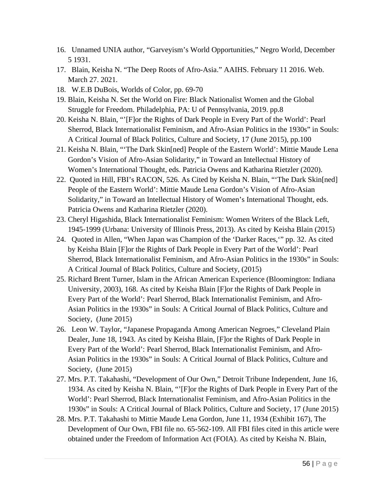- 16. Unnamed UNIA author, "Garveyism's World Opportunities," Negro World, December 5 1931.
- 17. Blain, Keisha N. "The Deep Roots of Afro-Asia." AAIHS. February 11 2016. Web. March 27. 2021.
- 18. W.E.B DuBois, Worlds of Color, pp. 69-70
- 19. Blain, Keisha N. Set the World on Fire: Black Nationalist Women and the Global Struggle for Freedom. Philadelphia, PA: U of Pennsylvania, 2019. pp.8
- 20. Keisha N. Blain, "'[F]or the Rights of Dark People in Every Part of the World': Pearl Sherrod, Black Internationalist Feminism, and Afro-Asian Politics in the 1930s" in Souls: A Critical Journal of Black Politics, Culture and Society, 17 (June 2015), pp.100
- 21. Keisha N. Blain, "'The Dark Skin[ned] People of the Eastern World': Mittie Maude Lena Gordon's Vision of Afro-Asian Solidarity," in Toward an Intellectual History of Women's International Thought, eds. Patricia Owens and Katharina Rietzler (2020).
- 22. Quoted in Hill, FBI's RACON, 526. As Cited by Keisha N. Blain, "'The Dark Skin[ned] People of the Eastern World': Mittie Maude Lena Gordon's Vision of Afro-Asian Solidarity," in Toward an Intellectual History of Women's International Thought, eds. Patricia Owens and Katharina Rietzler (2020).
- 23. Cheryl Higashida, Black Internationalist Feminism: Women Writers of the Black Left, 1945-1999 (Urbana: University of Illinois Press, 2013). As cited by Keisha Blain (2015)
- 24. Quoted in Allen, "When Japan was Champion of the 'Darker Races,'" pp. 32. As cited by Keisha Blain [F]or the Rights of Dark People in Every Part of the World': Pearl Sherrod, Black Internationalist Feminism, and Afro-Asian Politics in the 1930s" in Souls: A Critical Journal of Black Politics, Culture and Society, (2015)
- 25. Richard Brent Turner, Islam in the African American Experience (Bloomington: Indiana University, 2003), 168. As cited by Keisha Blain [F]or the Rights of Dark People in Every Part of the World': Pearl Sherrod, Black Internationalist Feminism, and Afro-Asian Politics in the 1930s" in Souls: A Critical Journal of Black Politics, Culture and Society, (June 2015)
- 26. Leon W. Taylor, "Japanese Propaganda Among American Negroes," Cleveland Plain Dealer, June 18, 1943. As cited by Keisha Blain, [F]or the Rights of Dark People in Every Part of the World': Pearl Sherrod, Black Internationalist Feminism, and Afro-Asian Politics in the 1930s" in Souls: A Critical Journal of Black Politics, Culture and Society, (June 2015)
- 27. Mrs. P.T. Takahashi, "Development of Our Own," Detroit Tribune Independent, June 16, 1934. As cited by Keisha N. Blain, "'[F]or the Rights of Dark People in Every Part of the World': Pearl Sherrod, Black Internationalist Feminism, and Afro-Asian Politics in the 1930s" in Souls: A Critical Journal of Black Politics, Culture and Society, 17 (June 2015)
- 28. Mrs. P.T. Takahashi to Mittie Maude Lena Gordon, June 11, 1934 (Exhibit 167), The Development of Our Own, FBI file no. 65-562-109. All FBI files cited in this article were obtained under the Freedom of Information Act (FOIA). As cited by Keisha N. Blain,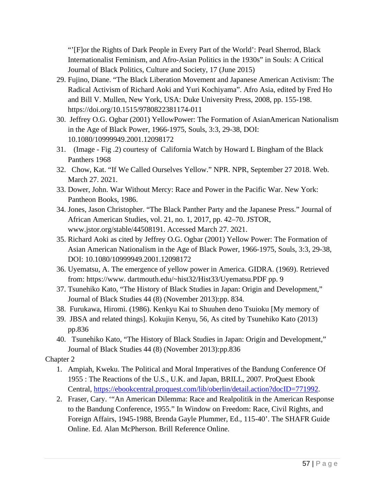"'[F]or the Rights of Dark People in Every Part of the World': Pearl Sherrod, Black Internationalist Feminism, and Afro-Asian Politics in the 1930s" in Souls: A Critical Journal of Black Politics, Culture and Society, 17 (June 2015)

- 29. Fujino, Diane. "The Black Liberation Movement and Japanese American Activism: The Radical Activism of Richard Aoki and Yuri Kochiyama". Afro Asia, edited by Fred Ho and Bill V. Mullen, New York, USA: Duke University Press, 2008, pp. 155-198. https://doi.org/10.1515/9780822381174-011
- 30. Jeffrey O.G. Ogbar (2001) YellowPower: The Formation of AsianAmerican Nationalism in the Age of Black Power, 1966-1975, Souls, 3:3, 29-38, DOI: 10.1080/10999949.2001.12098172
- 31. (Image Fig .2) courtesy of California Watch by Howard L Bingham of the Black Panthers 1968
- 32. Chow, Kat. "If We Called Ourselves Yellow." NPR. NPR, September 27 2018. Web. March 27. 2021.
- 33. Dower, John. War Without Mercy: Race and Power in the Pacific War. New York: Pantheon Books, 1986.
- 34. Jones, Jason Christopher. "The Black Panther Party and the Japanese Press." Journal of African American Studies, vol. 21, no. 1, 2017, pp. 42–70. JSTOR, www.jstor.org/stable/44508191. Accessed March 27. 2021.
- 35. Richard Aoki as cited by Jeffrey O.G. Ogbar (2001) Yellow Power: The Formation of Asian American Nationalism in the Age of Black Power, 1966-1975, Souls, 3:3, 29-38, DOI: 10.1080/10999949.2001.12098172
- 36. Uyematsu, A. The emergence of yellow power in America. GIDRA. (1969). Retrieved from: https://www. dartmouth.edu/~hist32/Hist33/Uyematsu.PDF pp. 9
- 37. Tsunehiko Kato, "The History of Black Studies in Japan: Origin and Development," Journal of Black Studies 44 (8) (November 2013):pp. 834.
- 38. Furukawa, Hiromi. (1986). Kenkyu Kai to Shuuhen deno Tsuioku [My memory of
- 39. JBSA and related things]. Kokujin Kenyu, 56, As cited by Tsunehiko Kato (2013) pp.836
- 40. Tsunehiko Kato, "The History of Black Studies in Japan: Origin and Development," Journal of Black Studies 44 (8) (November 2013):pp.836

### Chapter 2

- 1. Ampiah, Kweku. The Political and Moral Imperatives of the Bandung Conference Of 1955 : The Reactions of the U.S., U.K. and Japan, BRILL, 2007. ProQuest Ebook Central, [https://ebookcentral.proquest.com/lib/oberlin/detail.action?docID=771992.](https://ebookcentral.proquest.com/lib/oberlin/detail.action?docID=771992)
- 2. Fraser, Cary. '"An American Dilemma: Race and Realpolitik in the American Response to the Bandung Conference, 1955." In Window on Freedom: Race, Civil Rights, and Foreign Affairs, 1945-1988, Brenda Gayle Plummer, Ed., 115-40'. The SHAFR Guide Online. Ed. Alan McPherson. Brill Reference Online.